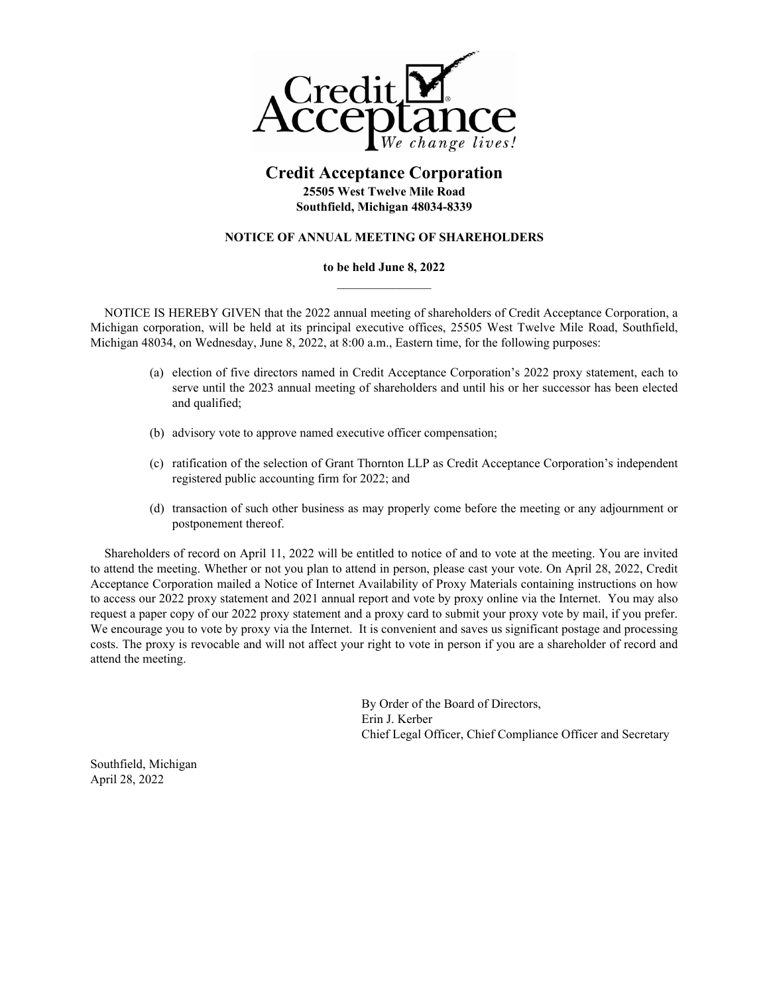

# **Credit Acceptance Corporation 25505 West Twelve Mile Road Southfield, Michigan 48034-8339**

# **NOTICE OF ANNUAL MEETING OF SHAREHOLDERS**

# **to be held June 8, 2022**

NOTICE IS HEREBY GIVEN that the 2022 annual meeting of shareholders of Credit Acceptance Corporation, a Michigan corporation, will be held at its principal executive offices, 25505 West Twelve Mile Road, Southfield, Michigan 48034, on Wednesday, June 8, 2022, at 8:00 a.m., Eastern time, for the following purposes:

- (a) election of five directors named in Credit Acceptance Corporation's 2022 proxy statement, each to serve until the 2023 annual meeting of shareholders and until his or her successor has been elected and qualified;
- (b) advisory vote to approve named executive officer compensation;
- (c) ratification of the selection of Grant Thornton LLP as Credit Acceptance Corporation's independent registered public accounting firm for 2022; and
- (d) transaction of such other business as may properly come before the meeting or any adjournment or postponement thereof.

Shareholders of record on April 11, 2022 will be entitled to notice of and to vote at the meeting. You are invited to attend the meeting. Whether or not you plan to attend in person, please cast your vote. On April 28, 2022, Credit Acceptance Corporation mailed a Notice of Internet Availability of Proxy Materials containing instructions on how to access our 2022 proxy statement and 2021 annual report and vote by proxy online via the Internet. You may also request a paper copy of our 2022 proxy statement and a proxy card to submit your proxy vote by mail, if you prefer. We encourage you to vote by proxy via the Internet. It is convenient and saves us significant postage and processing costs. The proxy is revocable and will not affect your right to vote in person if you are a shareholder of record and attend the meeting.

> By Order of the Board of Directors, Erin J. Kerber Chief Legal Officer, Chief Compliance Officer and Secretary

Southfield, Michigan April 28, 2022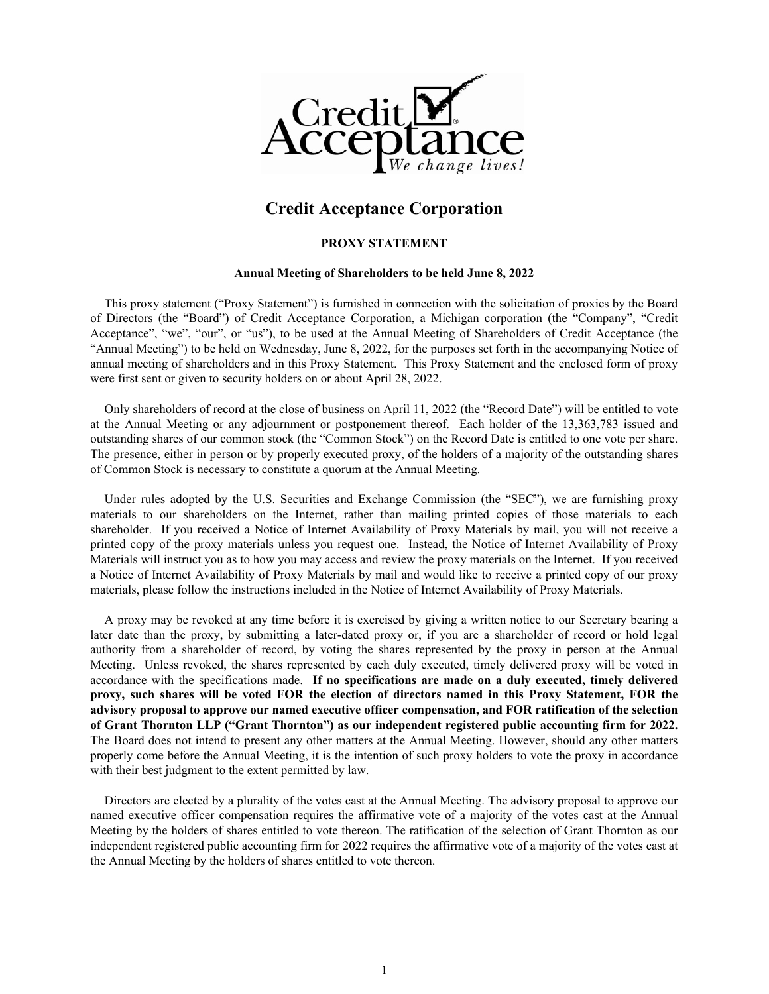

# **Credit Acceptance Corporation**

### **PROXY STATEMENT**

#### **Annual Meeting of Shareholders to be held June 8, 2022**

This proxy statement ("Proxy Statement") is furnished in connection with the solicitation of proxies by the Board of Directors (the "Board") of Credit Acceptance Corporation, a Michigan corporation (the "Company", "Credit Acceptance", "we", "our", or "us"), to be used at the Annual Meeting of Shareholders of Credit Acceptance (the "Annual Meeting") to be held on Wednesday, June 8, 2022, for the purposes set forth in the accompanying Notice of annual meeting of shareholders and in this Proxy Statement. This Proxy Statement and the enclosed form of proxy were first sent or given to security holders on or about April 28, 2022.

Only shareholders of record at the close of business on April 11, 2022 (the "Record Date") will be entitled to vote at the Annual Meeting or any adjournment or postponement thereof. Each holder of the 13,363,783 issued and outstanding shares of our common stock (the "Common Stock") on the Record Date is entitled to one vote per share. The presence, either in person or by properly executed proxy, of the holders of a majority of the outstanding shares of Common Stock is necessary to constitute a quorum at the Annual Meeting.

Under rules adopted by the U.S. Securities and Exchange Commission (the "SEC"), we are furnishing proxy materials to our shareholders on the Internet, rather than mailing printed copies of those materials to each shareholder. If you received a Notice of Internet Availability of Proxy Materials by mail, you will not receive a printed copy of the proxy materials unless you request one. Instead, the Notice of Internet Availability of Proxy Materials will instruct you as to how you may access and review the proxy materials on the Internet. If you received a Notice of Internet Availability of Proxy Materials by mail and would like to receive a printed copy of our proxy materials, please follow the instructions included in the Notice of Internet Availability of Proxy Materials.

A proxy may be revoked at any time before it is exercised by giving a written notice to our Secretary bearing a later date than the proxy, by submitting a later-dated proxy or, if you are a shareholder of record or hold legal authority from a shareholder of record, by voting the shares represented by the proxy in person at the Annual Meeting. Unless revoked, the shares represented by each duly executed, timely delivered proxy will be voted in accordance with the specifications made. **If no specifications are made on a duly executed, timely delivered proxy, such shares will be voted FOR the election of directors named in this Proxy Statement, FOR the advisory proposal to approve our named executive officer compensation, and FOR ratification of the selection of Grant Thornton LLP ("Grant Thornton") as our independent registered public accounting firm for 2022.**  The Board does not intend to present any other matters at the Annual Meeting. However, should any other matters properly come before the Annual Meeting, it is the intention of such proxy holders to vote the proxy in accordance with their best judgment to the extent permitted by law.

Directors are elected by a plurality of the votes cast at the Annual Meeting. The advisory proposal to approve our named executive officer compensation requires the affirmative vote of a majority of the votes cast at the Annual Meeting by the holders of shares entitled to vote thereon. The ratification of the selection of Grant Thornton as our independent registered public accounting firm for 2022 requires the affirmative vote of a majority of the votes cast at the Annual Meeting by the holders of shares entitled to vote thereon.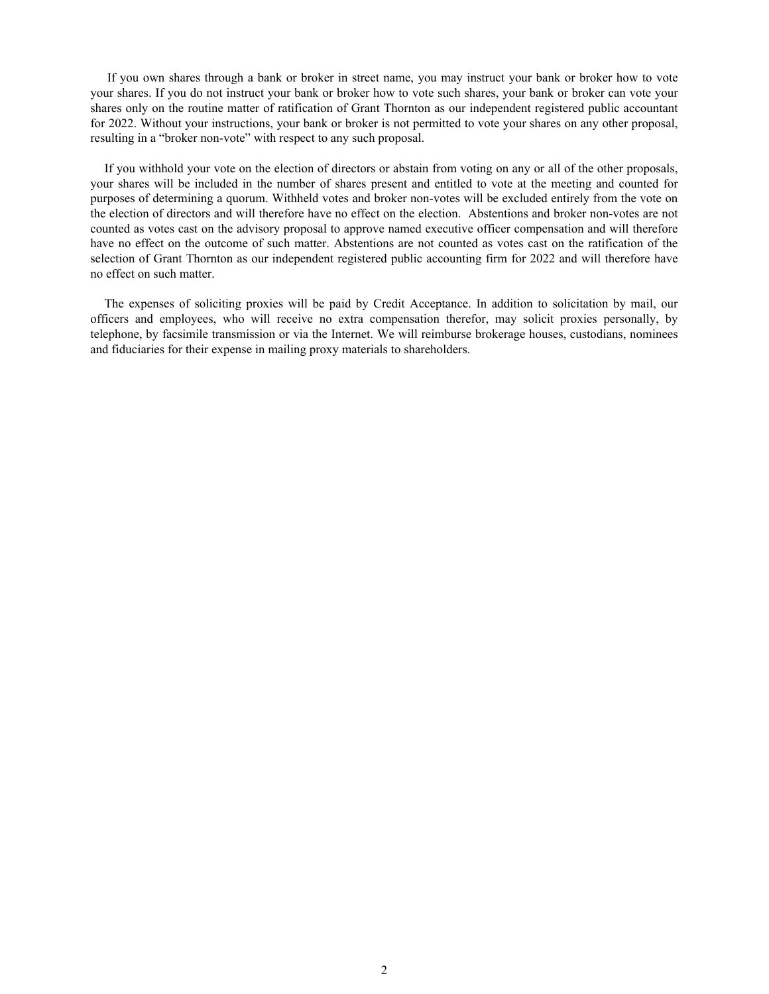If you own shares through a bank or broker in street name, you may instruct your bank or broker how to vote your shares. If you do not instruct your bank or broker how to vote such shares, your bank or broker can vote your shares only on the routine matter of ratification of Grant Thornton as our independent registered public accountant for 2022. Without your instructions, your bank or broker is not permitted to vote your shares on any other proposal, resulting in a "broker non-vote" with respect to any such proposal.

If you withhold your vote on the election of directors or abstain from voting on any or all of the other proposals, your shares will be included in the number of shares present and entitled to vote at the meeting and counted for purposes of determining a quorum. Withheld votes and broker non-votes will be excluded entirely from the vote on the election of directors and will therefore have no effect on the election. Abstentions and broker non-votes are not counted as votes cast on the advisory proposal to approve named executive officer compensation and will therefore have no effect on the outcome of such matter. Abstentions are not counted as votes cast on the ratification of the selection of Grant Thornton as our independent registered public accounting firm for 2022 and will therefore have no effect on such matter.

The expenses of soliciting proxies will be paid by Credit Acceptance. In addition to solicitation by mail, our officers and employees, who will receive no extra compensation therefor, may solicit proxies personally, by telephone, by facsimile transmission or via the Internet. We will reimburse brokerage houses, custodians, nominees and fiduciaries for their expense in mailing proxy materials to shareholders.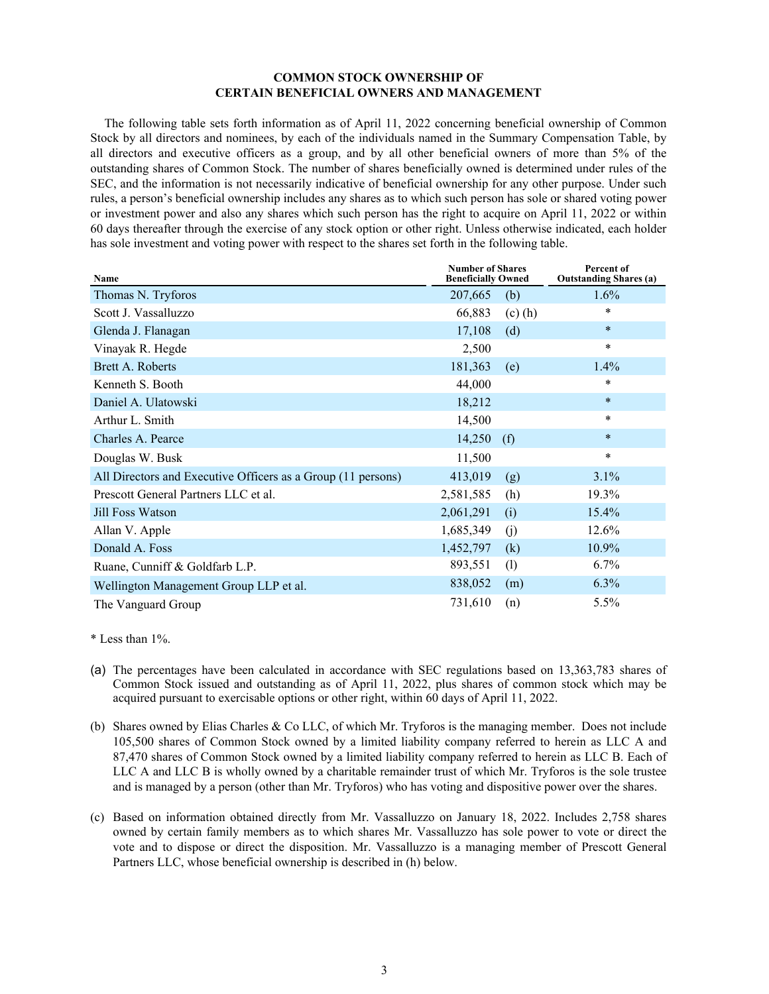# **COMMON STOCK OWNERSHIP OF CERTAIN BENEFICIAL OWNERS AND MANAGEMENT**

The following table sets forth information as of April 11, 2022 concerning beneficial ownership of Common Stock by all directors and nominees, by each of the individuals named in the Summary Compensation Table, by all directors and executive officers as a group, and by all other beneficial owners of more than 5% of the outstanding shares of Common Stock. The number of shares beneficially owned is determined under rules of the SEC, and the information is not necessarily indicative of beneficial ownership for any other purpose. Under such rules, a person's beneficial ownership includes any shares as to which such person has sole or shared voting power or investment power and also any shares which such person has the right to acquire on April 11, 2022 or within 60 days thereafter through the exercise of any stock option or other right. Unless otherwise indicated, each holder has sole investment and voting power with respect to the shares set forth in the following table.

| Name                                                         | <b>Number of Shares</b><br><b>Beneficially Owned</b> | Percent of<br><b>Outstanding Shares (a)</b> |
|--------------------------------------------------------------|------------------------------------------------------|---------------------------------------------|
| Thomas N. Tryforos                                           | 207,665<br>(b)                                       | 1.6%                                        |
| Scott J. Vassalluzzo                                         | 66,883<br>$(c)$ $(h)$                                | *                                           |
| Glenda J. Flanagan                                           | 17,108<br>(d)                                        | $\ast$                                      |
| Vinayak R. Hegde                                             | 2,500                                                | $\ast$                                      |
| Brett A. Roberts                                             | 181,363<br>(e)                                       | 1.4%                                        |
| Kenneth S. Booth                                             | 44,000                                               | *                                           |
| Daniel A. Ulatowski                                          | 18,212                                               | $\ast$                                      |
| Arthur L. Smith                                              | 14,500                                               | *                                           |
| Charles A. Pearce                                            | 14,250<br>(f)                                        | $\ast$                                      |
| Douglas W. Busk                                              | 11,500                                               | $\ast$                                      |
| All Directors and Executive Officers as a Group (11 persons) | 413,019<br>(g)                                       | 3.1%                                        |
| Prescott General Partners LLC et al.                         | 2,581,585<br>(h)                                     | 19.3%                                       |
| Jill Foss Watson                                             | 2,061,291<br>(i)                                     | 15.4%                                       |
| Allan V. Apple                                               | 1,685,349<br>(j)                                     | 12.6%                                       |
| Donald A. Foss                                               | 1,452,797<br>(k)                                     | 10.9%                                       |
| Ruane, Cunniff & Goldfarb L.P.                               | 893,551<br>(1)                                       | 6.7%                                        |
| Wellington Management Group LLP et al.                       | 838,052<br>(m)                                       | $6.3\%$                                     |
| The Vanguard Group                                           | 731,610<br>(n)                                       | 5.5%                                        |

\* Less than 1%.

- (a) The percentages have been calculated in accordance with SEC regulations based on 13,363,783 shares of Common Stock issued and outstanding as of April 11, 2022, plus shares of common stock which may be acquired pursuant to exercisable options or other right, within 60 days of April 11, 2022.
- (b) Shares owned by Elias Charles & Co LLC, of which Mr. Tryforos is the managing member. Does not include 105,500 shares of Common Stock owned by a limited liability company referred to herein as LLC A and 87,470 shares of Common Stock owned by a limited liability company referred to herein as LLC B. Each of LLC A and LLC B is wholly owned by a charitable remainder trust of which Mr. Tryforos is the sole trustee and is managed by a person (other than Mr. Tryforos) who has voting and dispositive power over the shares.
- (c) Based on information obtained directly from Mr. Vassalluzzo on January 18, 2022. Includes 2,758 shares owned by certain family members as to which shares Mr. Vassalluzzo has sole power to vote or direct the vote and to dispose or direct the disposition. Mr. Vassalluzzo is a managing member of Prescott General Partners LLC, whose beneficial ownership is described in (h) below.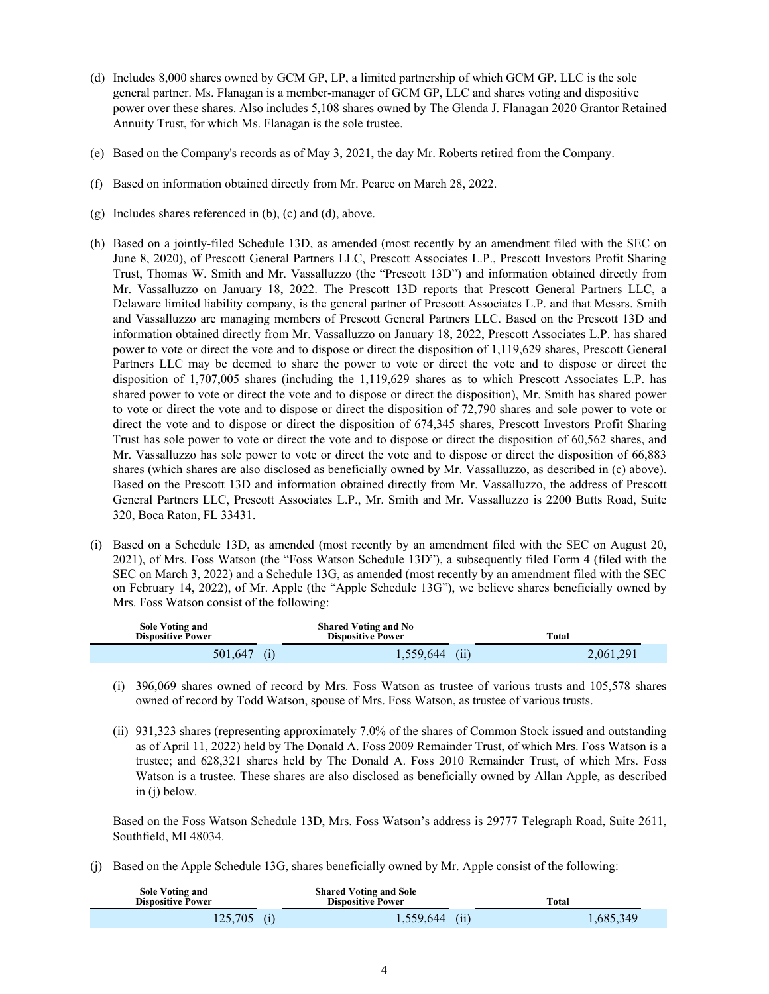- (d) Includes 8,000 shares owned by GCM GP, LP, a limited partnership of which GCM GP, LLC is the sole general partner. Ms. Flanagan is a member-manager of GCM GP, LLC and shares voting and dispositive power over these shares. Also includes 5,108 shares owned by The Glenda J. Flanagan 2020 Grantor Retained Annuity Trust, for which Ms. Flanagan is the sole trustee.
- (e) Based on the Company's records as of May 3, 2021, the day Mr. Roberts retired from the Company.
- (f) Based on information obtained directly from Mr. Pearce on March 28, 2022.
- (g) Includes shares referenced in (b), (c) and (d), above.
- (h) Based on a jointly-filed Schedule 13D, as amended (most recently by an amendment filed with the SEC on June 8, 2020), of Prescott General Partners LLC, Prescott Associates L.P., Prescott Investors Profit Sharing Trust, Thomas W. Smith and Mr. Vassalluzzo (the "Prescott 13D") and information obtained directly from Mr. Vassalluzzo on January 18, 2022. The Prescott 13D reports that Prescott General Partners LLC, a Delaware limited liability company, is the general partner of Prescott Associates L.P. and that Messrs. Smith and Vassalluzzo are managing members of Prescott General Partners LLC. Based on the Prescott 13D and information obtained directly from Mr. Vassalluzzo on January 18, 2022, Prescott Associates L.P. has shared power to vote or direct the vote and to dispose or direct the disposition of 1,119,629 shares, Prescott General Partners LLC may be deemed to share the power to vote or direct the vote and to dispose or direct the disposition of 1,707,005 shares (including the 1,119,629 shares as to which Prescott Associates L.P. has shared power to vote or direct the vote and to dispose or direct the disposition), Mr. Smith has shared power to vote or direct the vote and to dispose or direct the disposition of 72,790 shares and sole power to vote or direct the vote and to dispose or direct the disposition of 674,345 shares, Prescott Investors Profit Sharing Trust has sole power to vote or direct the vote and to dispose or direct the disposition of 60,562 shares, and Mr. Vassalluzzo has sole power to vote or direct the vote and to dispose or direct the disposition of 66,883 shares (which shares are also disclosed as beneficially owned by Mr. Vassalluzzo, as described in (c) above). Based on the Prescott 13D and information obtained directly from Mr. Vassalluzzo, the address of Prescott General Partners LLC, Prescott Associates L.P., Mr. Smith and Mr. Vassalluzzo is 2200 Butts Road, Suite 320, Boca Raton, FL 33431.
- (i) Based on a Schedule 13D, as amended (most recently by an amendment filed with the SEC on August 20, 2021), of Mrs. Foss Watson (the "Foss Watson Schedule 13D"), a subsequently filed Form 4 (filed with the SEC on March 3, 2022) and a Schedule 13G, as amended (most recently by an amendment filed with the SEC on February 14, 2022), of Mr. Apple (the "Apple Schedule 13G"), we believe shares beneficially owned by Mrs. Foss Watson consist of the following:

| <b>Sole Voting and</b><br><b>Dispositive Power</b> | <b>Shared Voting and No</b><br><b>Dispositive Power</b> | Total     |
|----------------------------------------------------|---------------------------------------------------------|-----------|
| 501.647                                            | 1,559,644<br>(11                                        | 2,061,291 |

- (i) 396,069 shares owned of record by Mrs. Foss Watson as trustee of various trusts and 105,578 shares owned of record by Todd Watson, spouse of Mrs. Foss Watson, as trustee of various trusts.
- (ii) 931,323 shares (representing approximately 7.0% of the shares of Common Stock issued and outstanding as of April 11, 2022) held by The Donald A. Foss 2009 Remainder Trust, of which Mrs. Foss Watson is a trustee; and 628,321 shares held by The Donald A. Foss 2010 Remainder Trust, of which Mrs. Foss Watson is a trustee. These shares are also disclosed as beneficially owned by Allan Apple, as described in (j) below.

Based on the Foss Watson Schedule 13D, Mrs. Foss Watson's address is 29777 Telegraph Road, Suite 2611, Southfield, MI 48034.

(j) Based on the Apple Schedule 13G, shares beneficially owned by Mr. Apple consist of the following:

| <b>Sole Voting and</b><br><b>Dispositive Power</b> | <b>Shared Voting and Sole</b><br><b>Dispositive Power</b> | Total     |  |
|----------------------------------------------------|-----------------------------------------------------------|-----------|--|
| 125,705                                            | $1,559,644$ (ii)                                          | 1,685,349 |  |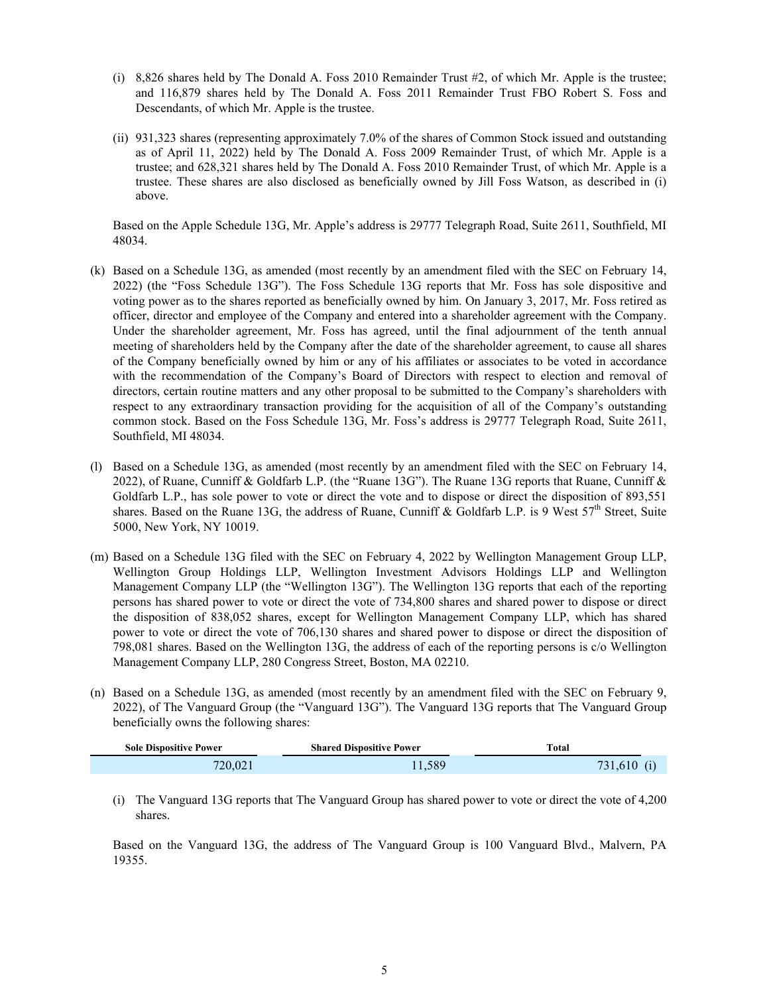- (i) 8,826 shares held by The Donald A. Foss 2010 Remainder Trust #2, of which Mr. Apple is the trustee; and 116,879 shares held by The Donald A. Foss 2011 Remainder Trust FBO Robert S. Foss and Descendants, of which Mr. Apple is the trustee.
- (ii) 931,323 shares (representing approximately 7.0% of the shares of Common Stock issued and outstanding as of April 11, 2022) held by The Donald A. Foss 2009 Remainder Trust, of which Mr. Apple is a trustee; and 628,321 shares held by The Donald A. Foss 2010 Remainder Trust, of which Mr. Apple is a trustee. These shares are also disclosed as beneficially owned by Jill Foss Watson, as described in (i) above.

Based on the Apple Schedule 13G, Mr. Apple's address is 29777 Telegraph Road, Suite 2611, Southfield, MI 48034.

- (k) Based on a Schedule 13G, as amended (most recently by an amendment filed with the SEC on February 14, 2022) (the "Foss Schedule 13G"). The Foss Schedule 13G reports that Mr. Foss has sole dispositive and voting power as to the shares reported as beneficially owned by him. On January 3, 2017, Mr. Foss retired as officer, director and employee of the Company and entered into a shareholder agreement with the Company. Under the shareholder agreement, Mr. Foss has agreed, until the final adjournment of the tenth annual meeting of shareholders held by the Company after the date of the shareholder agreement, to cause all shares of the Company beneficially owned by him or any of his affiliates or associates to be voted in accordance with the recommendation of the Company's Board of Directors with respect to election and removal of directors, certain routine matters and any other proposal to be submitted to the Company's shareholders with respect to any extraordinary transaction providing for the acquisition of all of the Company's outstanding common stock. Based on the Foss Schedule 13G, Mr. Foss's address is 29777 Telegraph Road, Suite 2611, Southfield, MI 48034.
- (l) Based on a Schedule 13G, as amended (most recently by an amendment filed with the SEC on February 14, 2022), of Ruane, Cunniff & Goldfarb L.P. (the "Ruane 13G"). The Ruane 13G reports that Ruane, Cunniff & Goldfarb L.P., has sole power to vote or direct the vote and to dispose or direct the disposition of 893,551 shares. Based on the Ruane 13G, the address of Ruane, Cunniff & Goldfarb L.P. is 9 West  $57<sup>th</sup>$  Street, Suite 5000, New York, NY 10019.
- (m) Based on a Schedule 13G filed with the SEC on February 4, 2022 by Wellington Management Group LLP, Wellington Group Holdings LLP, Wellington Investment Advisors Holdings LLP and Wellington Management Company LLP (the "Wellington 13G"). The Wellington 13G reports that each of the reporting persons has shared power to vote or direct the vote of 734,800 shares and shared power to dispose or direct the disposition of 838,052 shares, except for Wellington Management Company LLP, which has shared power to vote or direct the vote of 706,130 shares and shared power to dispose or direct the disposition of 798,081 shares. Based on the Wellington 13G, the address of each of the reporting persons is c/o Wellington Management Company LLP, 280 Congress Street, Boston, MA 02210.
- (n) Based on a Schedule 13G, as amended (most recently by an amendment filed with the SEC on February 9, 2022), of The Vanguard Group (the "Vanguard 13G"). The Vanguard 13G reports that The Vanguard Group beneficially owns the following shares:

| <b>Sole Dispositive Power</b> | <b>Shared Dispositive Power</b> | Total   |
|-------------------------------|---------------------------------|---------|
| 720.021                       | 1,589                           | 731,610 |

(i) The Vanguard 13G reports that The Vanguard Group has shared power to vote or direct the vote of 4,200 shares.

Based on the Vanguard 13G, the address of The Vanguard Group is 100 Vanguard Blvd., Malvern, PA 19355.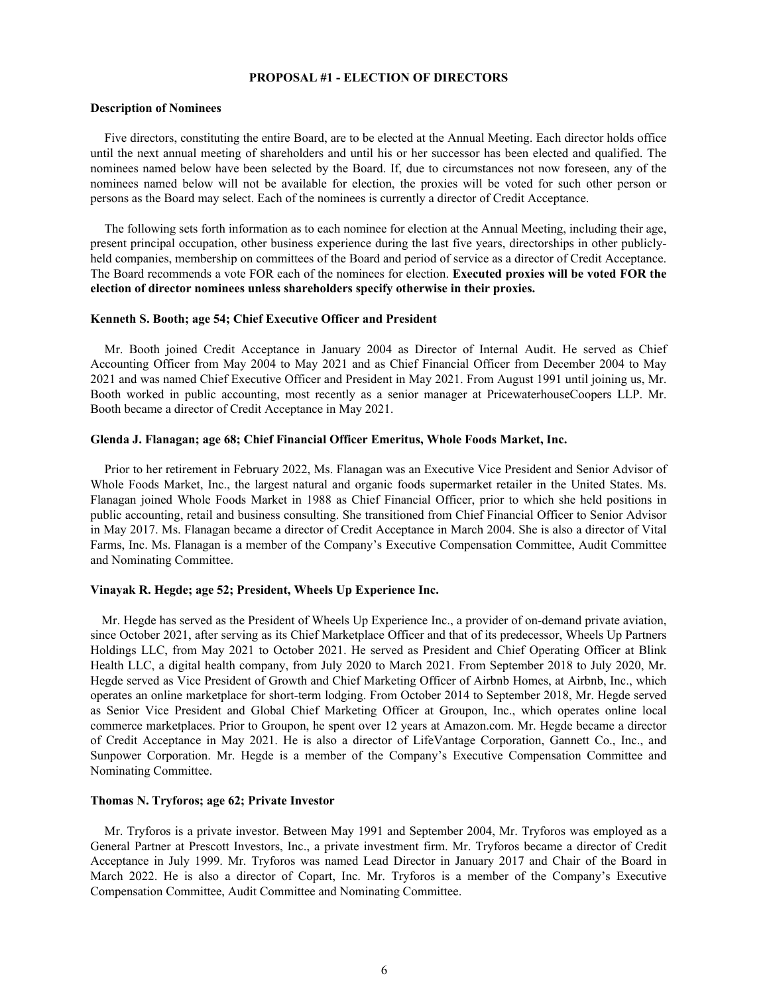## **PROPOSAL #1 - ELECTION OF DIRECTORS**

### **Description of Nominees**

Five directors, constituting the entire Board, are to be elected at the Annual Meeting. Each director holds office until the next annual meeting of shareholders and until his or her successor has been elected and qualified. The nominees named below have been selected by the Board. If, due to circumstances not now foreseen, any of the nominees named below will not be available for election, the proxies will be voted for such other person or persons as the Board may select. Each of the nominees is currently a director of Credit Acceptance.

The following sets forth information as to each nominee for election at the Annual Meeting, including their age, present principal occupation, other business experience during the last five years, directorships in other publiclyheld companies, membership on committees of the Board and period of service as a director of Credit Acceptance. The Board recommends a vote FOR each of the nominees for election. **Executed proxies will be voted FOR the election of director nominees unless shareholders specify otherwise in their proxies.**

# **Kenneth S. Booth; age 54; Chief Executive Officer and President**

Mr. Booth joined Credit Acceptance in January 2004 as Director of Internal Audit. He served as Chief Accounting Officer from May 2004 to May 2021 and as Chief Financial Officer from December 2004 to May 2021 and was named Chief Executive Officer and President in May 2021. From August 1991 until joining us, Mr. Booth worked in public accounting, most recently as a senior manager at PricewaterhouseCoopers LLP. Mr. Booth became a director of Credit Acceptance in May 2021.

#### **Glenda J. Flanagan; age 68; Chief Financial Officer Emeritus, Whole Foods Market, Inc.**

Prior to her retirement in February 2022, Ms. Flanagan was an Executive Vice President and Senior Advisor of Whole Foods Market, Inc., the largest natural and organic foods supermarket retailer in the United States. Ms. Flanagan joined Whole Foods Market in 1988 as Chief Financial Officer, prior to which she held positions in public accounting, retail and business consulting. She transitioned from Chief Financial Officer to Senior Advisor in May 2017. Ms. Flanagan became a director of Credit Acceptance in March 2004. She is also a director of Vital Farms, Inc. Ms. Flanagan is a member of the Company's Executive Compensation Committee, Audit Committee and Nominating Committee.

#### **Vinayak R. Hegde; age 52; President, Wheels Up Experience Inc.**

Mr. Hegde has served as the President of Wheels Up Experience Inc., a provider of on-demand private aviation, since October 2021, after serving as its Chief Marketplace Officer and that of its predecessor, Wheels Up Partners Holdings LLC, from May 2021 to October 2021. He served as President and Chief Operating Officer at Blink Health LLC, a digital health company, from July 2020 to March 2021. From September 2018 to July 2020, Mr. Hegde served as Vice President of Growth and Chief Marketing Officer of Airbnb Homes, at Airbnb, Inc., which operates an online marketplace for short-term lodging. From October 2014 to September 2018, Mr. Hegde served as Senior Vice President and Global Chief Marketing Officer at Groupon, Inc., which operates online local commerce marketplaces. Prior to Groupon, he spent over 12 years at Amazon.com. Mr. Hegde became a director of Credit Acceptance in May 2021. He is also a director of LifeVantage Corporation, Gannett Co., Inc., and Sunpower Corporation. Mr. Hegde is a member of the Company's Executive Compensation Committee and Nominating Committee.

#### **Thomas N. Tryforos; age 62; Private Investor**

Mr. Tryforos is a private investor. Between May 1991 and September 2004, Mr. Tryforos was employed as a General Partner at Prescott Investors, Inc., a private investment firm. Mr. Tryforos became a director of Credit Acceptance in July 1999. Mr. Tryforos was named Lead Director in January 2017 and Chair of the Board in March 2022. He is also a director of Copart, Inc. Mr. Tryforos is a member of the Company's Executive Compensation Committee, Audit Committee and Nominating Committee.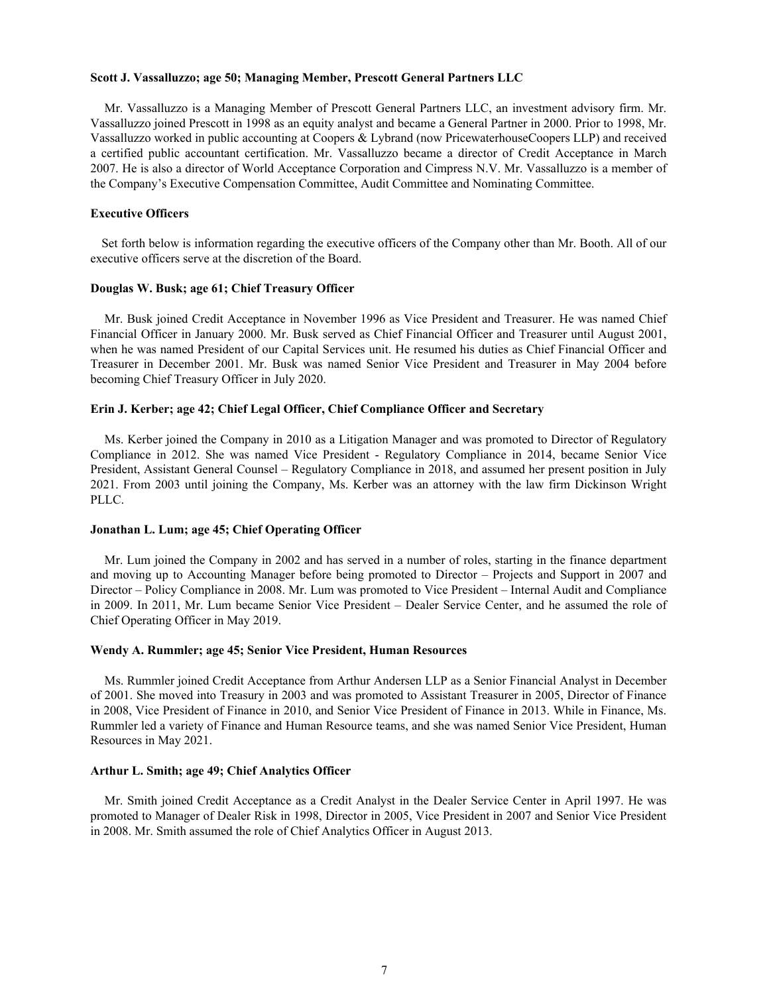#### **Scott J. Vassalluzzo; age 50; Managing Member, Prescott General Partners LLC**

Mr. Vassalluzzo is a Managing Member of Prescott General Partners LLC, an investment advisory firm. Mr. Vassalluzzo joined Prescott in 1998 as an equity analyst and became a General Partner in 2000. Prior to 1998, Mr. Vassalluzzo worked in public accounting at Coopers & Lybrand (now PricewaterhouseCoopers LLP) and received a certified public accountant certification. Mr. Vassalluzzo became a director of Credit Acceptance in March 2007. He is also a director of World Acceptance Corporation and Cimpress N.V. Mr. Vassalluzzo is a member of the Company's Executive Compensation Committee, Audit Committee and Nominating Committee.

# **Executive Officers**

Set forth below is information regarding the executive officers of the Company other than Mr. Booth. All of our executive officers serve at the discretion of the Board.

# **Douglas W. Busk; age 61; Chief Treasury Officer**

Mr. Busk joined Credit Acceptance in November 1996 as Vice President and Treasurer. He was named Chief Financial Officer in January 2000. Mr. Busk served as Chief Financial Officer and Treasurer until August 2001, when he was named President of our Capital Services unit. He resumed his duties as Chief Financial Officer and Treasurer in December 2001. Mr. Busk was named Senior Vice President and Treasurer in May 2004 before becoming Chief Treasury Officer in July 2020.

#### **Erin J. Kerber; age 42; Chief Legal Officer, Chief Compliance Officer and Secretary**

Ms. Kerber joined the Company in 2010 as a Litigation Manager and was promoted to Director of Regulatory Compliance in 2012. She was named Vice President - Regulatory Compliance in 2014, became Senior Vice President, Assistant General Counsel – Regulatory Compliance in 2018, and assumed her present position in July 2021. From 2003 until joining the Company, Ms. Kerber was an attorney with the law firm Dickinson Wright PLLC.

#### **Jonathan L. Lum; age 45; Chief Operating Officer**

Mr. Lum joined the Company in 2002 and has served in a number of roles, starting in the finance department and moving up to Accounting Manager before being promoted to Director – Projects and Support in 2007 and Director – Policy Compliance in 2008. Mr. Lum was promoted to Vice President – Internal Audit and Compliance in 2009. In 2011, Mr. Lum became Senior Vice President – Dealer Service Center, and he assumed the role of Chief Operating Officer in May 2019.

#### **Wendy A. Rummler; age 45; Senior Vice President, Human Resources**

Ms. Rummler joined Credit Acceptance from Arthur Andersen LLP as a Senior Financial Analyst in December of 2001. She moved into Treasury in 2003 and was promoted to Assistant Treasurer in 2005, Director of Finance in 2008, Vice President of Finance in 2010, and Senior Vice President of Finance in 2013. While in Finance, Ms. Rummler led a variety of Finance and Human Resource teams, and she was named Senior Vice President, Human Resources in May 2021.

#### **Arthur L. Smith; age 49; Chief Analytics Officer**

Mr. Smith joined Credit Acceptance as a Credit Analyst in the Dealer Service Center in April 1997. He was promoted to Manager of Dealer Risk in 1998, Director in 2005, Vice President in 2007 and Senior Vice President in 2008. Mr. Smith assumed the role of Chief Analytics Officer in August 2013.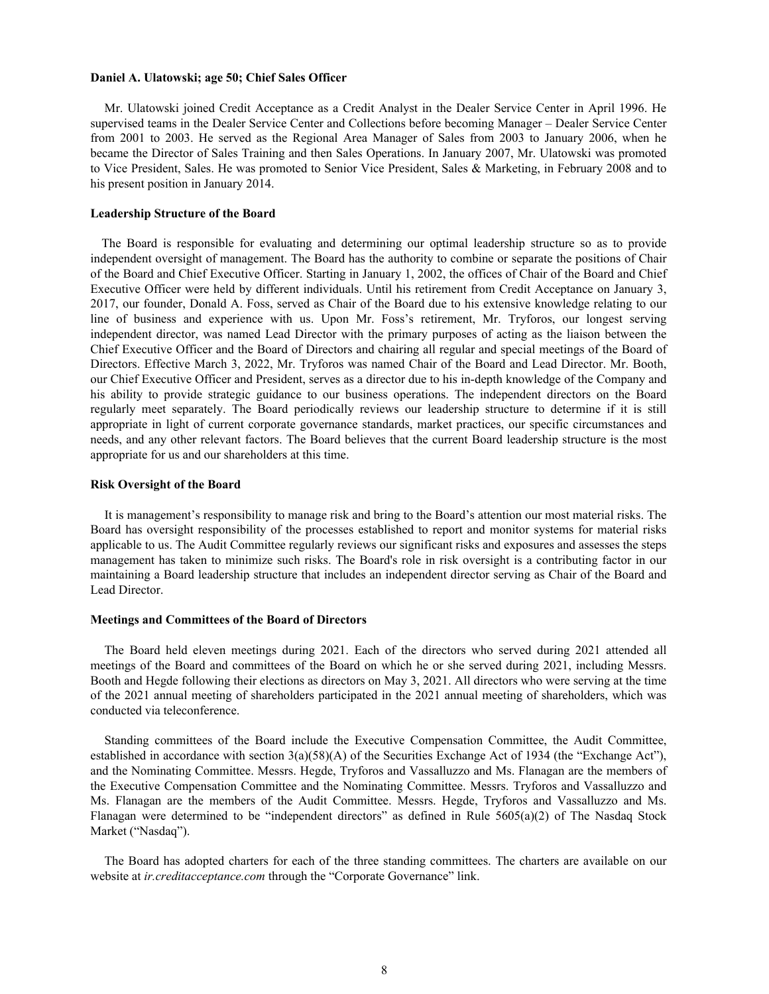#### **Daniel A. Ulatowski; age 50; Chief Sales Officer**

Mr. Ulatowski joined Credit Acceptance as a Credit Analyst in the Dealer Service Center in April 1996. He supervised teams in the Dealer Service Center and Collections before becoming Manager – Dealer Service Center from 2001 to 2003. He served as the Regional Area Manager of Sales from 2003 to January 2006, when he became the Director of Sales Training and then Sales Operations. In January 2007, Mr. Ulatowski was promoted to Vice President, Sales. He was promoted to Senior Vice President, Sales & Marketing, in February 2008 and to his present position in January 2014.

#### **Leadership Structure of the Board**

The Board is responsible for evaluating and determining our optimal leadership structure so as to provide independent oversight of management. The Board has the authority to combine or separate the positions of Chair of the Board and Chief Executive Officer. Starting in January 1, 2002, the offices of Chair of the Board and Chief Executive Officer were held by different individuals. Until his retirement from Credit Acceptance on January 3, 2017, our founder, Donald A. Foss, served as Chair of the Board due to his extensive knowledge relating to our line of business and experience with us. Upon Mr. Foss's retirement, Mr. Tryforos, our longest serving independent director, was named Lead Director with the primary purposes of acting as the liaison between the Chief Executive Officer and the Board of Directors and chairing all regular and special meetings of the Board of Directors. Effective March 3, 2022, Mr. Tryforos was named Chair of the Board and Lead Director. Mr. Booth, our Chief Executive Officer and President, serves as a director due to his in-depth knowledge of the Company and his ability to provide strategic guidance to our business operations. The independent directors on the Board regularly meet separately. The Board periodically reviews our leadership structure to determine if it is still appropriate in light of current corporate governance standards, market practices, our specific circumstances and needs, and any other relevant factors. The Board believes that the current Board leadership structure is the most appropriate for us and our shareholders at this time.

#### **Risk Oversight of the Board**

It is management's responsibility to manage risk and bring to the Board's attention our most material risks. The Board has oversight responsibility of the processes established to report and monitor systems for material risks applicable to us. The Audit Committee regularly reviews our significant risks and exposures and assesses the steps management has taken to minimize such risks. The Board's role in risk oversight is a contributing factor in our maintaining a Board leadership structure that includes an independent director serving as Chair of the Board and Lead Director.

### **Meetings and Committees of the Board of Directors**

The Board held eleven meetings during 2021. Each of the directors who served during 2021 attended all meetings of the Board and committees of the Board on which he or she served during 2021, including Messrs. Booth and Hegde following their elections as directors on May 3, 2021. All directors who were serving at the time of the 2021 annual meeting of shareholders participated in the 2021 annual meeting of shareholders, which was conducted via teleconference.

Standing committees of the Board include the Executive Compensation Committee, the Audit Committee, established in accordance with section 3(a)(58)(A) of the Securities Exchange Act of 1934 (the "Exchange Act"), and the Nominating Committee. Messrs. Hegde, Tryforos and Vassalluzzo and Ms. Flanagan are the members of the Executive Compensation Committee and the Nominating Committee. Messrs. Tryforos and Vassalluzzo and Ms. Flanagan are the members of the Audit Committee. Messrs. Hegde, Tryforos and Vassalluzzo and Ms. Flanagan were determined to be "independent directors" as defined in Rule 5605(a)(2) of The Nasdaq Stock Market ("Nasdaq").

The Board has adopted charters for each of the three standing committees. The charters are available on our website at *ir.creditacceptance.com* through the "Corporate Governance" link.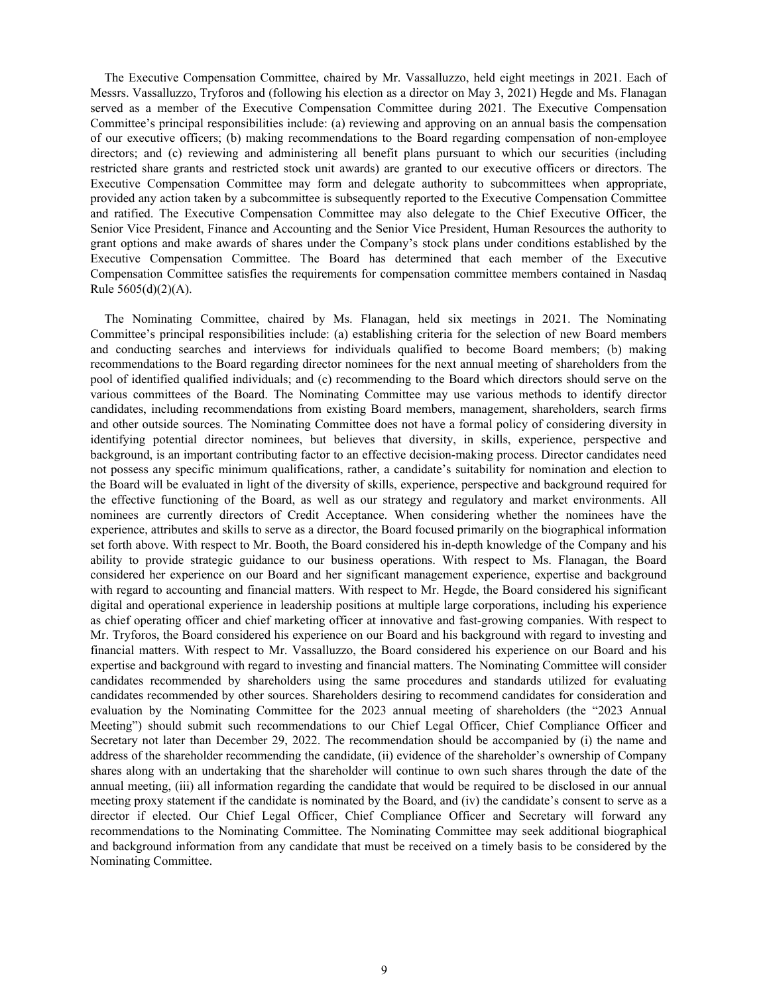The Executive Compensation Committee, chaired by Mr. Vassalluzzo, held eight meetings in 2021. Each of Messrs. Vassalluzzo, Tryforos and (following his election as a director on May 3, 2021) Hegde and Ms. Flanagan served as a member of the Executive Compensation Committee during 2021. The Executive Compensation Committee's principal responsibilities include: (a) reviewing and approving on an annual basis the compensation of our executive officers; (b) making recommendations to the Board regarding compensation of non-employee directors; and (c) reviewing and administering all benefit plans pursuant to which our securities (including restricted share grants and restricted stock unit awards) are granted to our executive officers or directors. The Executive Compensation Committee may form and delegate authority to subcommittees when appropriate, provided any action taken by a subcommittee is subsequently reported to the Executive Compensation Committee and ratified. The Executive Compensation Committee may also delegate to the Chief Executive Officer, the Senior Vice President, Finance and Accounting and the Senior Vice President, Human Resources the authority to grant options and make awards of shares under the Company's stock plans under conditions established by the Executive Compensation Committee. The Board has determined that each member of the Executive Compensation Committee satisfies the requirements for compensation committee members contained in Nasdaq Rule 5605(d)(2)(A).

The Nominating Committee, chaired by Ms. Flanagan, held six meetings in 2021. The Nominating Committee's principal responsibilities include: (a) establishing criteria for the selection of new Board members and conducting searches and interviews for individuals qualified to become Board members; (b) making recommendations to the Board regarding director nominees for the next annual meeting of shareholders from the pool of identified qualified individuals; and (c) recommending to the Board which directors should serve on the various committees of the Board. The Nominating Committee may use various methods to identify director candidates, including recommendations from existing Board members, management, shareholders, search firms and other outside sources. The Nominating Committee does not have a formal policy of considering diversity in identifying potential director nominees, but believes that diversity, in skills, experience, perspective and background, is an important contributing factor to an effective decision-making process. Director candidates need not possess any specific minimum qualifications, rather, a candidate's suitability for nomination and election to the Board will be evaluated in light of the diversity of skills, experience, perspective and background required for the effective functioning of the Board, as well as our strategy and regulatory and market environments. All nominees are currently directors of Credit Acceptance. When considering whether the nominees have the experience, attributes and skills to serve as a director, the Board focused primarily on the biographical information set forth above. With respect to Mr. Booth, the Board considered his in-depth knowledge of the Company and his ability to provide strategic guidance to our business operations. With respect to Ms. Flanagan, the Board considered her experience on our Board and her significant management experience, expertise and background with regard to accounting and financial matters. With respect to Mr. Hegde, the Board considered his significant digital and operational experience in leadership positions at multiple large corporations, including his experience as chief operating officer and chief marketing officer at innovative and fast-growing companies. With respect to Mr. Tryforos, the Board considered his experience on our Board and his background with regard to investing and financial matters. With respect to Mr. Vassalluzzo, the Board considered his experience on our Board and his expertise and background with regard to investing and financial matters. The Nominating Committee will consider candidates recommended by shareholders using the same procedures and standards utilized for evaluating candidates recommended by other sources. Shareholders desiring to recommend candidates for consideration and evaluation by the Nominating Committee for the 2023 annual meeting of shareholders (the "2023 Annual Meeting") should submit such recommendations to our Chief Legal Officer, Chief Compliance Officer and Secretary not later than December 29, 2022. The recommendation should be accompanied by (i) the name and address of the shareholder recommending the candidate, (ii) evidence of the shareholder's ownership of Company shares along with an undertaking that the shareholder will continue to own such shares through the date of the annual meeting, (iii) all information regarding the candidate that would be required to be disclosed in our annual meeting proxy statement if the candidate is nominated by the Board, and (iv) the candidate's consent to serve as a director if elected. Our Chief Legal Officer, Chief Compliance Officer and Secretary will forward any recommendations to the Nominating Committee. The Nominating Committee may seek additional biographical and background information from any candidate that must be received on a timely basis to be considered by the Nominating Committee.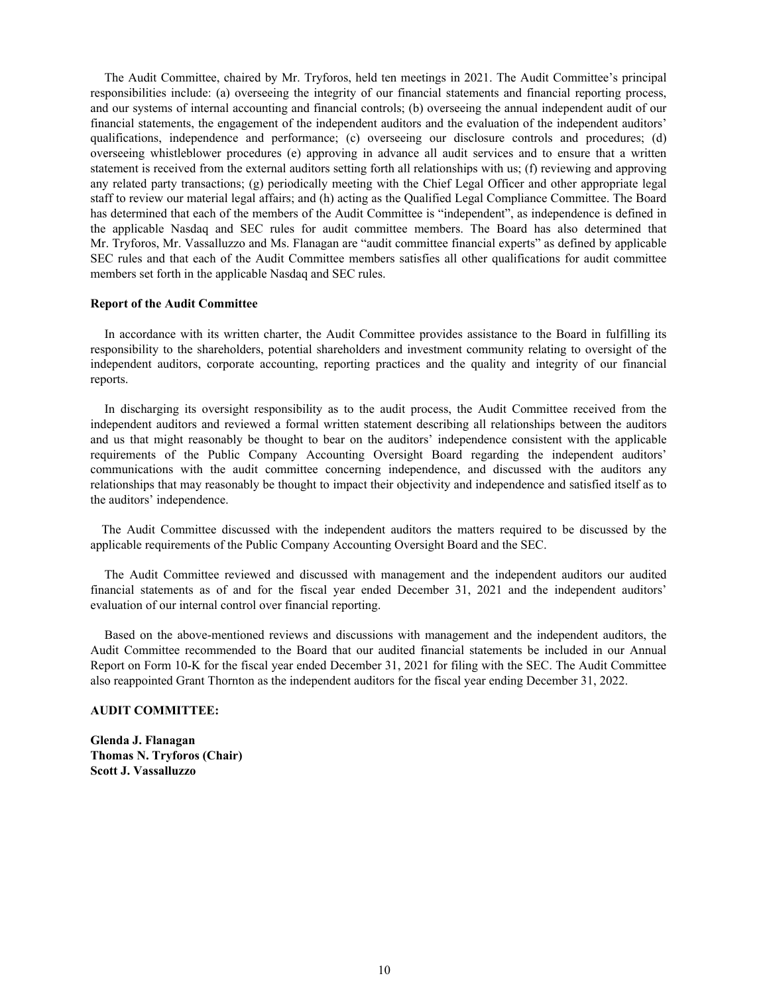The Audit Committee, chaired by Mr. Tryforos, held ten meetings in 2021. The Audit Committee's principal responsibilities include: (a) overseeing the integrity of our financial statements and financial reporting process, and our systems of internal accounting and financial controls; (b) overseeing the annual independent audit of our financial statements, the engagement of the independent auditors and the evaluation of the independent auditors' qualifications, independence and performance; (c) overseeing our disclosure controls and procedures; (d) overseeing whistleblower procedures (e) approving in advance all audit services and to ensure that a written statement is received from the external auditors setting forth all relationships with us; (f) reviewing and approving any related party transactions; (g) periodically meeting with the Chief Legal Officer and other appropriate legal staff to review our material legal affairs; and (h) acting as the Qualified Legal Compliance Committee. The Board has determined that each of the members of the Audit Committee is "independent", as independence is defined in the applicable Nasdaq and SEC rules for audit committee members. The Board has also determined that Mr. Tryforos, Mr. Vassalluzzo and Ms. Flanagan are "audit committee financial experts" as defined by applicable SEC rules and that each of the Audit Committee members satisfies all other qualifications for audit committee members set forth in the applicable Nasdaq and SEC rules.

#### **Report of the Audit Committee**

In accordance with its written charter, the Audit Committee provides assistance to the Board in fulfilling its responsibility to the shareholders, potential shareholders and investment community relating to oversight of the independent auditors, corporate accounting, reporting practices and the quality and integrity of our financial reports.

In discharging its oversight responsibility as to the audit process, the Audit Committee received from the independent auditors and reviewed a formal written statement describing all relationships between the auditors and us that might reasonably be thought to bear on the auditors' independence consistent with the applicable requirements of the Public Company Accounting Oversight Board regarding the independent auditors' communications with the audit committee concerning independence, and discussed with the auditors any relationships that may reasonably be thought to impact their objectivity and independence and satisfied itself as to the auditors' independence.

The Audit Committee discussed with the independent auditors the matters required to be discussed by the applicable requirements of the Public Company Accounting Oversight Board and the SEC.

The Audit Committee reviewed and discussed with management and the independent auditors our audited financial statements as of and for the fiscal year ended December 31, 2021 and the independent auditors' evaluation of our internal control over financial reporting.

Based on the above-mentioned reviews and discussions with management and the independent auditors, the Audit Committee recommended to the Board that our audited financial statements be included in our Annual Report on Form 10-K for the fiscal year ended December 31, 2021 for filing with the SEC. The Audit Committee also reappointed Grant Thornton as the independent auditors for the fiscal year ending December 31, 2022.

# **AUDIT COMMITTEE:**

**Glenda J. Flanagan Thomas N. Tryforos (Chair) Scott J. Vassalluzzo**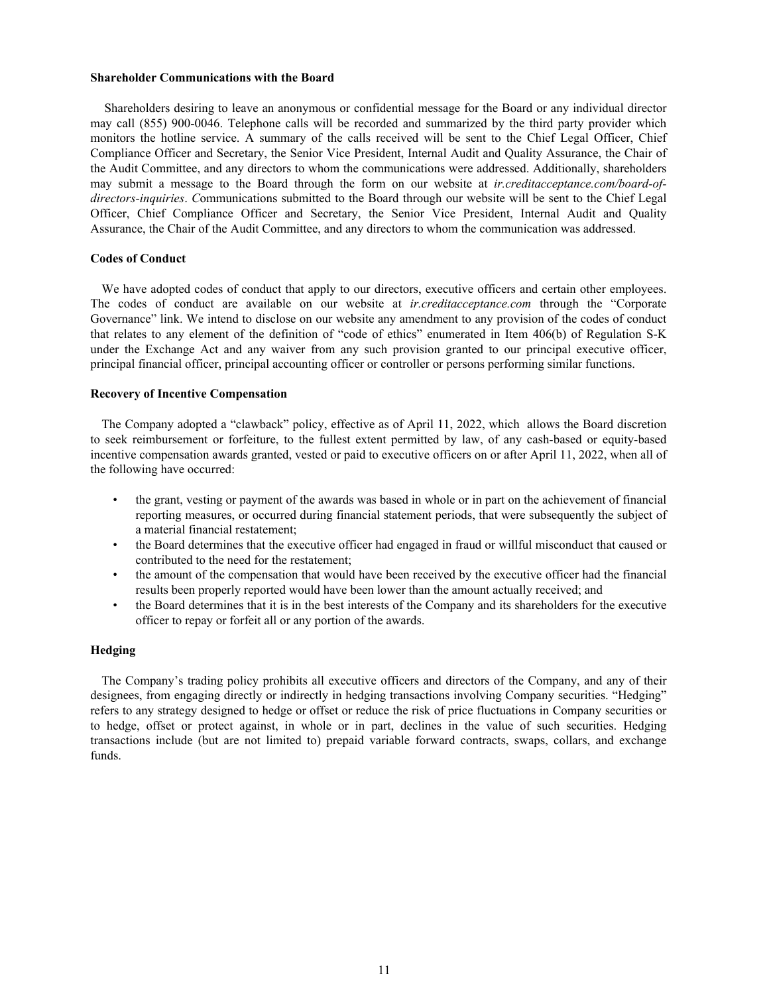#### **Shareholder Communications with the Board**

Shareholders desiring to leave an anonymous or confidential message for the Board or any individual director may call (855) 900-0046. Telephone calls will be recorded and summarized by the third party provider which monitors the hotline service. A summary of the calls received will be sent to the Chief Legal Officer, Chief Compliance Officer and Secretary, the Senior Vice President, Internal Audit and Quality Assurance, the Chair of the Audit Committee, and any directors to whom the communications were addressed. Additionally, shareholders may submit a message to the Board through the form on our website at *ir.creditacceptance.com/board-ofdirectors-inquiries*. *C*ommunications submitted to the Board through our website will be sent to the Chief Legal Officer, Chief Compliance Officer and Secretary, the Senior Vice President, Internal Audit and Quality Assurance, the Chair of the Audit Committee, and any directors to whom the communication was addressed.

#### **Codes of Conduct**

We have adopted codes of conduct that apply to our directors, executive officers and certain other employees. The codes of conduct are available on our website at *ir.creditacceptance.com* through the "Corporate Governance" link. We intend to disclose on our website any amendment to any provision of the codes of conduct that relates to any element of the definition of "code of ethics" enumerated in Item 406(b) of Regulation S-K under the Exchange Act and any waiver from any such provision granted to our principal executive officer, principal financial officer, principal accounting officer or controller or persons performing similar functions.

### **Recovery of Incentive Compensation**

The Company adopted a "clawback" policy, effective as of April 11, 2022, which allows the Board discretion to seek reimbursement or forfeiture, to the fullest extent permitted by law, of any cash-based or equity-based incentive compensation awards granted, vested or paid to executive officers on or after April 11, 2022, when all of the following have occurred:

- the grant, vesting or payment of the awards was based in whole or in part on the achievement of financial reporting measures, or occurred during financial statement periods, that were subsequently the subject of a material financial restatement;
- the Board determines that the executive officer had engaged in fraud or willful misconduct that caused or contributed to the need for the restatement;
- the amount of the compensation that would have been received by the executive officer had the financial results been properly reported would have been lower than the amount actually received; and
- the Board determines that it is in the best interests of the Company and its shareholders for the executive officer to repay or forfeit all or any portion of the awards.

### **Hedging**

The Company's trading policy prohibits all executive officers and directors of the Company, and any of their designees, from engaging directly or indirectly in hedging transactions involving Company securities. "Hedging" refers to any strategy designed to hedge or offset or reduce the risk of price fluctuations in Company securities or to hedge, offset or protect against, in whole or in part, declines in the value of such securities. Hedging transactions include (but are not limited to) prepaid variable forward contracts, swaps, collars, and exchange funds.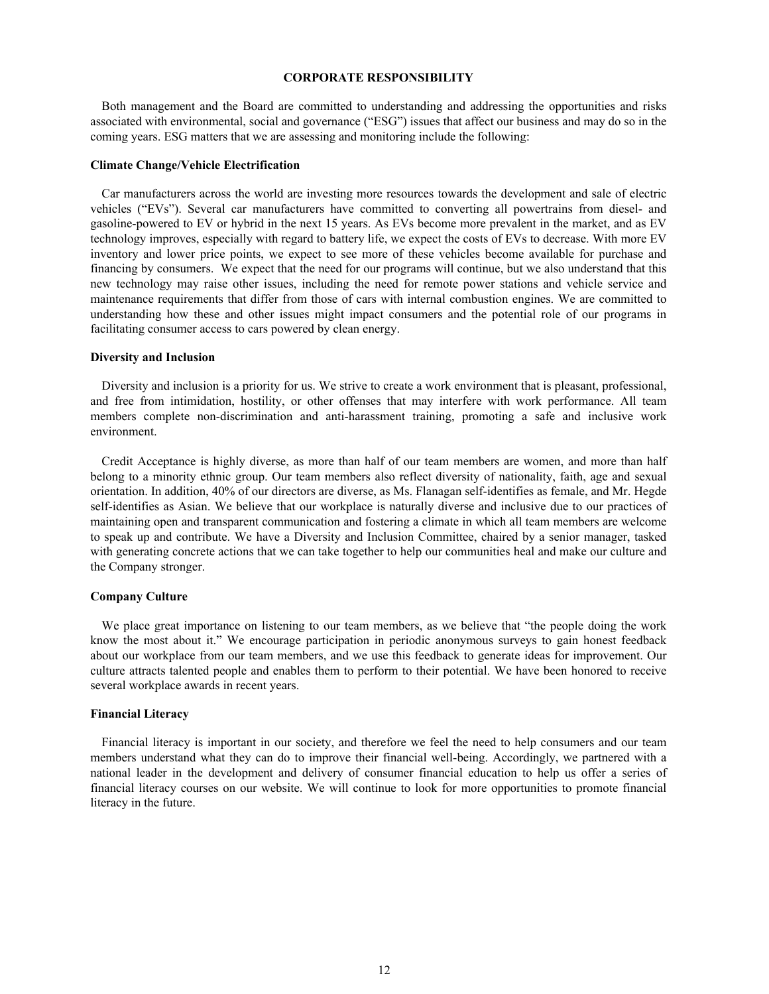### **CORPORATE RESPONSIBILITY**

Both management and the Board are committed to understanding and addressing the opportunities and risks associated with environmental, social and governance ("ESG") issues that affect our business and may do so in the coming years. ESG matters that we are assessing and monitoring include the following:

#### **Climate Change/Vehicle Electrification**

Car manufacturers across the world are investing more resources towards the development and sale of electric vehicles ("EVs"). Several car manufacturers have committed to converting all powertrains from diesel- and gasoline-powered to EV or hybrid in the next 15 years. As EVs become more prevalent in the market, and as EV technology improves, especially with regard to battery life, we expect the costs of EVs to decrease. With more EV inventory and lower price points, we expect to see more of these vehicles become available for purchase and financing by consumers. We expect that the need for our programs will continue, but we also understand that this new technology may raise other issues, including the need for remote power stations and vehicle service and maintenance requirements that differ from those of cars with internal combustion engines. We are committed to understanding how these and other issues might impact consumers and the potential role of our programs in facilitating consumer access to cars powered by clean energy.

#### **Diversity and Inclusion**

Diversity and inclusion is a priority for us. We strive to create a work environment that is pleasant, professional, and free from intimidation, hostility, or other offenses that may interfere with work performance. All team members complete non-discrimination and anti-harassment training, promoting a safe and inclusive work environment.

Credit Acceptance is highly diverse, as more than half of our team members are women, and more than half belong to a minority ethnic group. Our team members also reflect diversity of nationality, faith, age and sexual orientation. In addition, 40% of our directors are diverse, as Ms. Flanagan self-identifies as female, and Mr. Hegde self-identifies as Asian. We believe that our workplace is naturally diverse and inclusive due to our practices of maintaining open and transparent communication and fostering a climate in which all team members are welcome to speak up and contribute. We have a Diversity and Inclusion Committee, chaired by a senior manager, tasked with generating concrete actions that we can take together to help our communities heal and make our culture and the Company stronger.

#### **Company Culture**

We place great importance on listening to our team members, as we believe that "the people doing the work know the most about it." We encourage participation in periodic anonymous surveys to gain honest feedback about our workplace from our team members, and we use this feedback to generate ideas for improvement. Our culture attracts talented people and enables them to perform to their potential. We have been honored to receive several workplace awards in recent years.

#### **Financial Literacy**

Financial literacy is important in our society, and therefore we feel the need to help consumers and our team members understand what they can do to improve their financial well-being. Accordingly, we partnered with a national leader in the development and delivery of consumer financial education to help us offer a series of financial literacy courses on our website. We will continue to look for more opportunities to promote financial literacy in the future.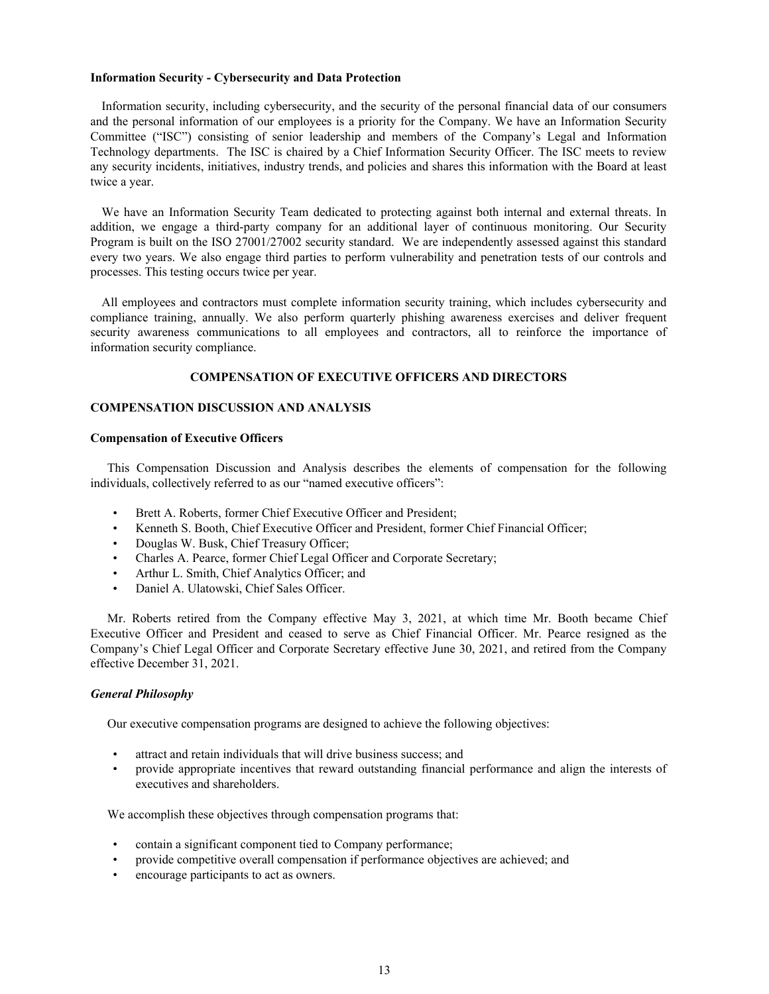### **Information Security - Cybersecurity and Data Protection**

Information security, including cybersecurity, and the security of the personal financial data of our consumers and the personal information of our employees is a priority for the Company. We have an Information Security Committee ("ISC") consisting of senior leadership and members of the Company's Legal and Information Technology departments. The ISC is chaired by a Chief Information Security Officer. The ISC meets to review any security incidents, initiatives, industry trends, and policies and shares this information with the Board at least twice a year.

We have an Information Security Team dedicated to protecting against both internal and external threats. In addition, we engage a third-party company for an additional layer of continuous monitoring. Our Security Program is built on the ISO 27001/27002 security standard. We are independently assessed against this standard every two years. We also engage third parties to perform vulnerability and penetration tests of our controls and processes. This testing occurs twice per year.

All employees and contractors must complete information security training, which includes cybersecurity and compliance training, annually. We also perform quarterly phishing awareness exercises and deliver frequent security awareness communications to all employees and contractors, all to reinforce the importance of information security compliance.

# **COMPENSATION OF EXECUTIVE OFFICERS AND DIRECTORS**

### **COMPENSATION DISCUSSION AND ANALYSIS**

#### **Compensation of Executive Officers**

This Compensation Discussion and Analysis describes the elements of compensation for the following individuals, collectively referred to as our "named executive officers":

- Brett A. Roberts, former Chief Executive Officer and President;
- Kenneth S. Booth, Chief Executive Officer and President, former Chief Financial Officer;
- Douglas W. Busk, Chief Treasury Officer;
- Charles A. Pearce, former Chief Legal Officer and Corporate Secretary;
- Arthur L. Smith, Chief Analytics Officer; and
- Daniel A. Ulatowski, Chief Sales Officer.

Mr. Roberts retired from the Company effective May 3, 2021, at which time Mr. Booth became Chief Executive Officer and President and ceased to serve as Chief Financial Officer. Mr. Pearce resigned as the Company's Chief Legal Officer and Corporate Secretary effective June 30, 2021, and retired from the Company effective December 31, 2021.

#### *General Philosophy*

Our executive compensation programs are designed to achieve the following objectives:

- attract and retain individuals that will drive business success; and
- provide appropriate incentives that reward outstanding financial performance and align the interests of executives and shareholders.

We accomplish these objectives through compensation programs that:

- contain a significant component tied to Company performance;
- provide competitive overall compensation if performance objectives are achieved; and
- encourage participants to act as owners.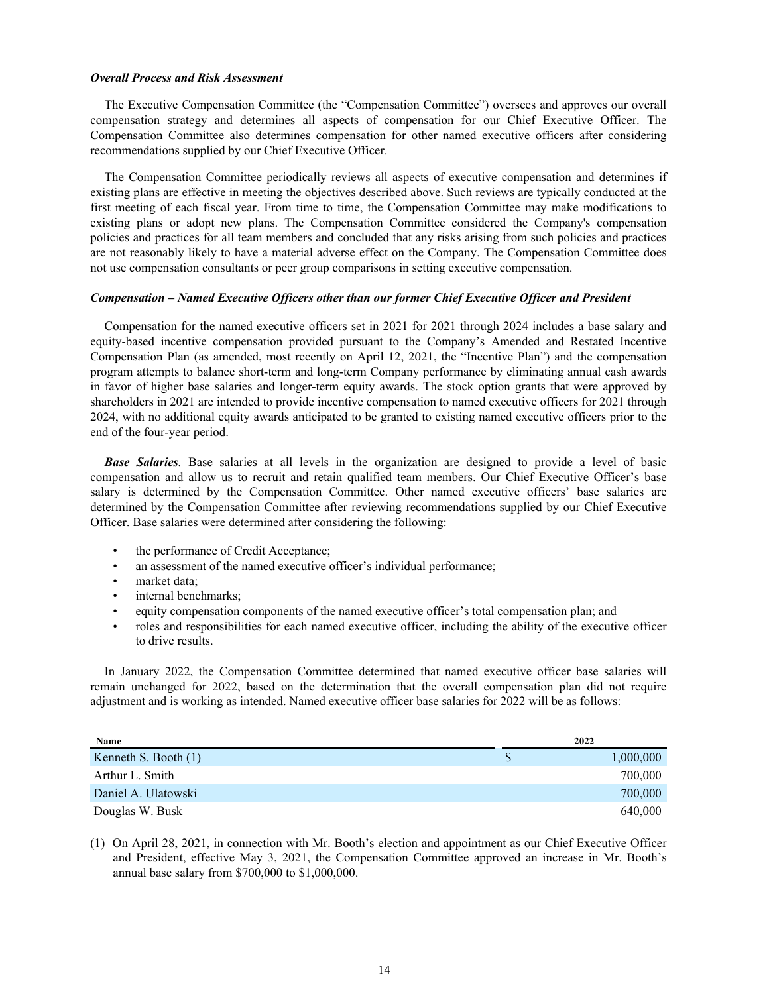#### *Overall Process and Risk Assessment*

The Executive Compensation Committee (the "Compensation Committee") oversees and approves our overall compensation strategy and determines all aspects of compensation for our Chief Executive Officer. The Compensation Committee also determines compensation for other named executive officers after considering recommendations supplied by our Chief Executive Officer.

The Compensation Committee periodically reviews all aspects of executive compensation and determines if existing plans are effective in meeting the objectives described above. Such reviews are typically conducted at the first meeting of each fiscal year. From time to time, the Compensation Committee may make modifications to existing plans or adopt new plans. The Compensation Committee considered the Company's compensation policies and practices for all team members and concluded that any risks arising from such policies and practices are not reasonably likely to have a material adverse effect on the Company. The Compensation Committee does not use compensation consultants or peer group comparisons in setting executive compensation.

#### *Compensation – Named Executive Officers other than our former Chief Executive Officer and President*

Compensation for the named executive officers set in 2021 for 2021 through 2024 includes a base salary and equity-based incentive compensation provided pursuant to the Company's Amended and Restated Incentive Compensation Plan (as amended, most recently on April 12, 2021, the "Incentive Plan") and the compensation program attempts to balance short-term and long-term Company performance by eliminating annual cash awards in favor of higher base salaries and longer-term equity awards. The stock option grants that were approved by shareholders in 2021 are intended to provide incentive compensation to named executive officers for 2021 through 2024, with no additional equity awards anticipated to be granted to existing named executive officers prior to the end of the four-year period.

*Base Salaries.* Base salaries at all levels in the organization are designed to provide a level of basic compensation and allow us to recruit and retain qualified team members. Our Chief Executive Officer's base salary is determined by the Compensation Committee. Other named executive officers' base salaries are determined by the Compensation Committee after reviewing recommendations supplied by our Chief Executive Officer. Base salaries were determined after considering the following:

- the performance of Credit Acceptance;
- an assessment of the named executive officer's individual performance;
- market data;
- internal benchmarks;
- equity compensation components of the named executive officer's total compensation plan; and
- roles and responsibilities for each named executive officer, including the ability of the executive officer to drive results.

In January 2022, the Compensation Committee determined that named executive officer base salaries will remain unchanged for 2022, based on the determination that the overall compensation plan did not require adjustment and is working as intended. Named executive officer base salaries for 2022 will be as follows:

| Name                 | 2022            |
|----------------------|-----------------|
| Kenneth S. Booth (1) | \$<br>1,000,000 |
| Arthur L. Smith      | 700,000         |
| Daniel A. Ulatowski  | 700,000         |
| Douglas W. Busk      | 640,000         |

(1) On April 28, 2021, in connection with Mr. Booth's election and appointment as our Chief Executive Officer and President, effective May 3, 2021, the Compensation Committee approved an increase in Mr. Booth's annual base salary from \$700,000 to \$1,000,000.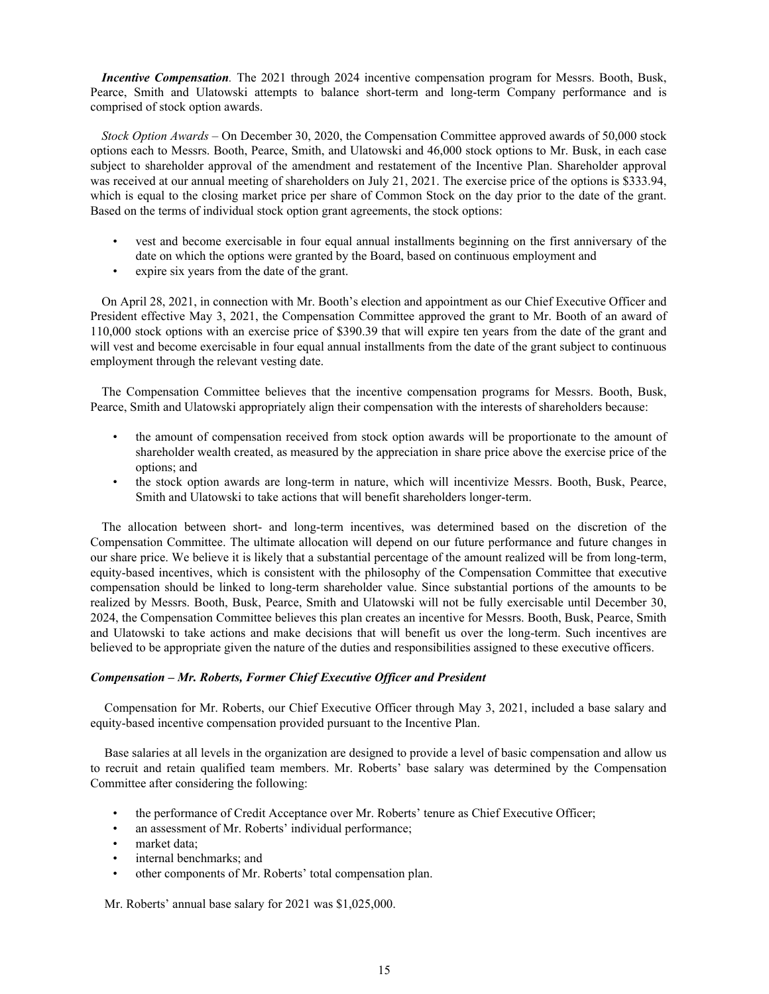*Incentive Compensation.* The 2021 through 2024 incentive compensation program for Messrs. Booth, Busk, Pearce, Smith and Ulatowski attempts to balance short-term and long-term Company performance and is comprised of stock option awards.

*Stock Option Awards* – On December 30, 2020, the Compensation Committee approved awards of 50,000 stock options each to Messrs. Booth, Pearce, Smith, and Ulatowski and 46,000 stock options to Mr. Busk, in each case subject to shareholder approval of the amendment and restatement of the Incentive Plan. Shareholder approval was received at our annual meeting of shareholders on July 21, 2021. The exercise price of the options is \$333.94, which is equal to the closing market price per share of Common Stock on the day prior to the date of the grant. Based on the terms of individual stock option grant agreements, the stock options:

- vest and become exercisable in four equal annual installments beginning on the first anniversary of the date on which the options were granted by the Board, based on continuous employment and
- expire six years from the date of the grant.

On April 28, 2021, in connection with Mr. Booth's election and appointment as our Chief Executive Officer and President effective May 3, 2021, the Compensation Committee approved the grant to Mr. Booth of an award of 110,000 stock options with an exercise price of \$390.39 that will expire ten years from the date of the grant and will vest and become exercisable in four equal annual installments from the date of the grant subject to continuous employment through the relevant vesting date.

The Compensation Committee believes that the incentive compensation programs for Messrs. Booth, Busk, Pearce, Smith and Ulatowski appropriately align their compensation with the interests of shareholders because:

- the amount of compensation received from stock option awards will be proportionate to the amount of shareholder wealth created, as measured by the appreciation in share price above the exercise price of the options; and
- the stock option awards are long-term in nature, which will incentivize Messrs. Booth, Busk, Pearce, Smith and Ulatowski to take actions that will benefit shareholders longer-term.

The allocation between short- and long-term incentives, was determined based on the discretion of the Compensation Committee. The ultimate allocation will depend on our future performance and future changes in our share price. We believe it is likely that a substantial percentage of the amount realized will be from long-term, equity-based incentives, which is consistent with the philosophy of the Compensation Committee that executive compensation should be linked to long-term shareholder value. Since substantial portions of the amounts to be realized by Messrs. Booth, Busk, Pearce, Smith and Ulatowski will not be fully exercisable until December 30, 2024, the Compensation Committee believes this plan creates an incentive for Messrs. Booth, Busk, Pearce, Smith and Ulatowski to take actions and make decisions that will benefit us over the long-term. Such incentives are believed to be appropriate given the nature of the duties and responsibilities assigned to these executive officers.

# *Compensation – Mr. Roberts, Former Chief Executive Officer and President*

Compensation for Mr. Roberts, our Chief Executive Officer through May 3, 2021, included a base salary and equity-based incentive compensation provided pursuant to the Incentive Plan.

Base salaries at all levels in the organization are designed to provide a level of basic compensation and allow us to recruit and retain qualified team members. Mr. Roberts' base salary was determined by the Compensation Committee after considering the following:

- the performance of Credit Acceptance over Mr. Roberts' tenure as Chief Executive Officer;
- an assessment of Mr. Roberts' individual performance;
- market data;
- internal benchmarks; and
- other components of Mr. Roberts' total compensation plan.

Mr. Roberts' annual base salary for 2021 was \$1,025,000.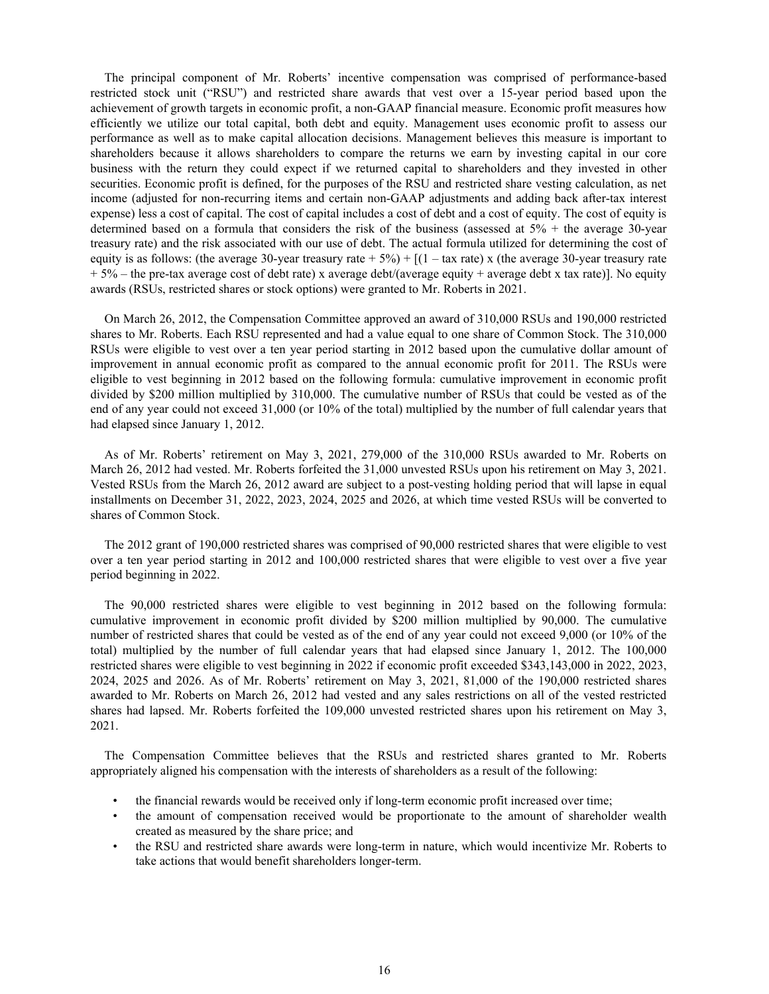The principal component of Mr. Roberts' incentive compensation was comprised of performance-based restricted stock unit ("RSU") and restricted share awards that vest over a 15-year period based upon the achievement of growth targets in economic profit, a non-GAAP financial measure. Economic profit measures how efficiently we utilize our total capital, both debt and equity. Management uses economic profit to assess our performance as well as to make capital allocation decisions. Management believes this measure is important to shareholders because it allows shareholders to compare the returns we earn by investing capital in our core business with the return they could expect if we returned capital to shareholders and they invested in other securities. Economic profit is defined, for the purposes of the RSU and restricted share vesting calculation, as net income (adjusted for non-recurring items and certain non-GAAP adjustments and adding back after-tax interest expense) less a cost of capital. The cost of capital includes a cost of debt and a cost of equity. The cost of equity is determined based on a formula that considers the risk of the business (assessed at  $5\%$  + the average 30-year treasury rate) and the risk associated with our use of debt. The actual formula utilized for determining the cost of equity is as follows: (the average 30-year treasury rate +  $5\%$ ) + [(1 – tax rate) x (the average 30-year treasury rate  $+ 5\%$  – the pre-tax average cost of debt rate) x average debt/(average equity + average debt x tax rate)]. No equity awards (RSUs, restricted shares or stock options) were granted to Mr. Roberts in 2021.

On March 26, 2012, the Compensation Committee approved an award of 310,000 RSUs and 190,000 restricted shares to Mr. Roberts. Each RSU represented and had a value equal to one share of Common Stock. The 310,000 RSUs were eligible to vest over a ten year period starting in 2012 based upon the cumulative dollar amount of improvement in annual economic profit as compared to the annual economic profit for 2011. The RSUs were eligible to vest beginning in 2012 based on the following formula: cumulative improvement in economic profit divided by \$200 million multiplied by 310,000. The cumulative number of RSUs that could be vested as of the end of any year could not exceed 31,000 (or 10% of the total) multiplied by the number of full calendar years that had elapsed since January 1, 2012.

As of Mr. Roberts' retirement on May 3, 2021, 279,000 of the 310,000 RSUs awarded to Mr. Roberts on March 26, 2012 had vested. Mr. Roberts forfeited the 31,000 unvested RSUs upon his retirement on May 3, 2021. Vested RSUs from the March 26, 2012 award are subject to a post-vesting holding period that will lapse in equal installments on December 31, 2022, 2023, 2024, 2025 and 2026, at which time vested RSUs will be converted to shares of Common Stock.

The 2012 grant of 190,000 restricted shares was comprised of 90,000 restricted shares that were eligible to vest over a ten year period starting in 2012 and 100,000 restricted shares that were eligible to vest over a five year period beginning in 2022.

The 90,000 restricted shares were eligible to vest beginning in 2012 based on the following formula: cumulative improvement in economic profit divided by \$200 million multiplied by 90,000. The cumulative number of restricted shares that could be vested as of the end of any year could not exceed 9,000 (or 10% of the total) multiplied by the number of full calendar years that had elapsed since January 1, 2012. The 100,000 restricted shares were eligible to vest beginning in 2022 if economic profit exceeded \$343,143,000 in 2022, 2023, 2024, 2025 and 2026. As of Mr. Roberts' retirement on May 3, 2021, 81,000 of the 190,000 restricted shares awarded to Mr. Roberts on March 26, 2012 had vested and any sales restrictions on all of the vested restricted shares had lapsed. Mr. Roberts forfeited the 109,000 unvested restricted shares upon his retirement on May 3, 2021.

The Compensation Committee believes that the RSUs and restricted shares granted to Mr. Roberts appropriately aligned his compensation with the interests of shareholders as a result of the following:

- the financial rewards would be received only if long-term economic profit increased over time;
- the amount of compensation received would be proportionate to the amount of shareholder wealth created as measured by the share price; and
- the RSU and restricted share awards were long-term in nature, which would incentivize Mr. Roberts to take actions that would benefit shareholders longer-term.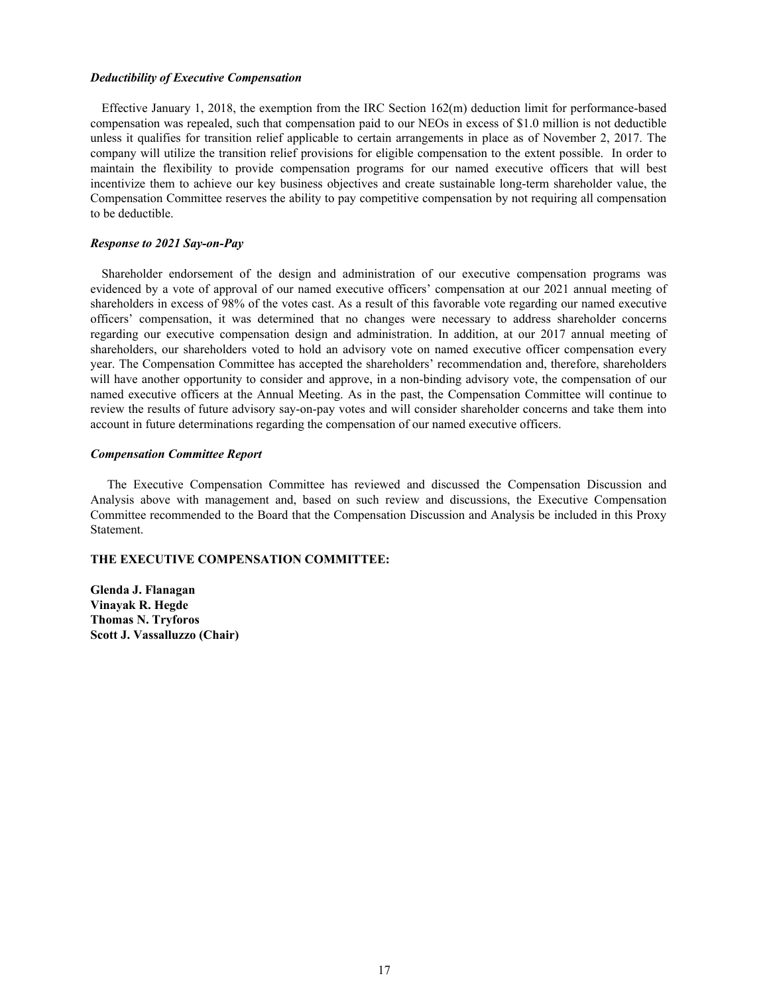#### *Deductibility of Executive Compensation*

Effective January 1, 2018, the exemption from the IRC Section 162(m) deduction limit for performance-based compensation was repealed, such that compensation paid to our NEOs in excess of \$1.0 million is not deductible unless it qualifies for transition relief applicable to certain arrangements in place as of November 2, 2017. The company will utilize the transition relief provisions for eligible compensation to the extent possible. In order to maintain the flexibility to provide compensation programs for our named executive officers that will best incentivize them to achieve our key business objectives and create sustainable long-term shareholder value, the Compensation Committee reserves the ability to pay competitive compensation by not requiring all compensation to be deductible.

#### *Response to 2021 Say-on-Pay*

Shareholder endorsement of the design and administration of our executive compensation programs was evidenced by a vote of approval of our named executive officers' compensation at our 2021 annual meeting of shareholders in excess of 98% of the votes cast. As a result of this favorable vote regarding our named executive officers' compensation, it was determined that no changes were necessary to address shareholder concerns regarding our executive compensation design and administration. In addition, at our 2017 annual meeting of shareholders, our shareholders voted to hold an advisory vote on named executive officer compensation every year. The Compensation Committee has accepted the shareholders' recommendation and, therefore, shareholders will have another opportunity to consider and approve, in a non-binding advisory vote, the compensation of our named executive officers at the Annual Meeting. As in the past, the Compensation Committee will continue to review the results of future advisory say-on-pay votes and will consider shareholder concerns and take them into account in future determinations regarding the compensation of our named executive officers.

## *Compensation Committee Report*

The Executive Compensation Committee has reviewed and discussed the Compensation Discussion and Analysis above with management and, based on such review and discussions, the Executive Compensation Committee recommended to the Board that the Compensation Discussion and Analysis be included in this Proxy Statement.

# **THE EXECUTIVE COMPENSATION COMMITTEE:**

**Glenda J. Flanagan Vinayak R. Hegde Thomas N. Tryforos Scott J. Vassalluzzo (Chair)**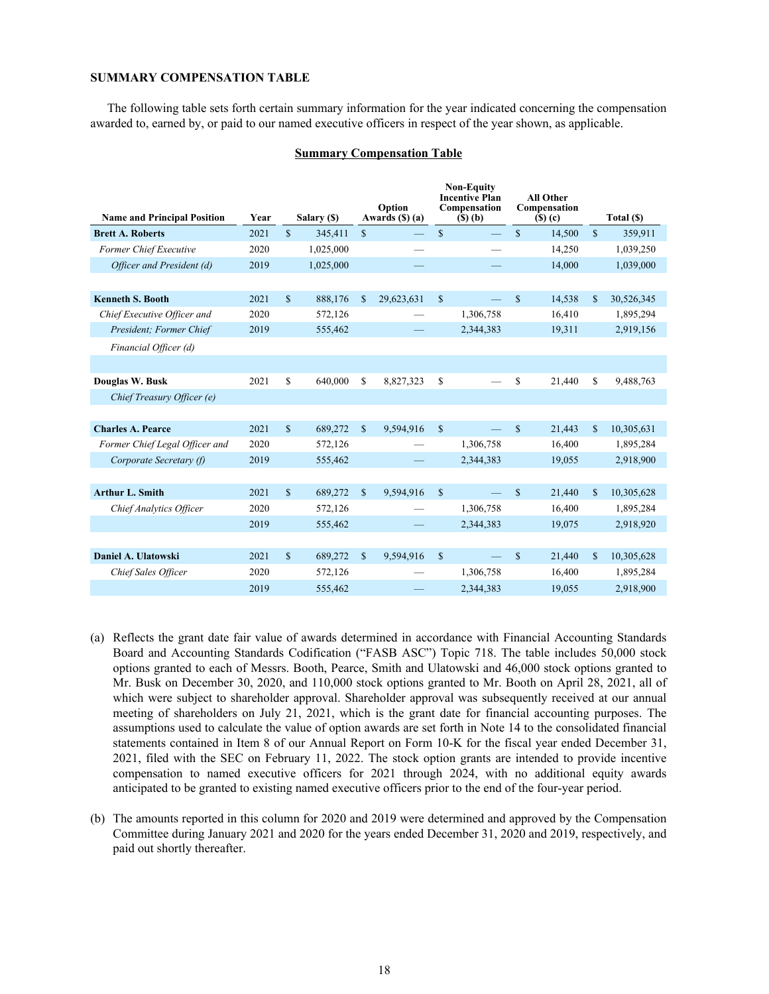# **SUMMARY COMPENSATION TABLE**

The following table sets forth certain summary information for the year indicated concerning the compensation awarded to, earned by, or paid to our named executive officers in respect of the year shown, as applicable.

#### **Summary Compensation Table**

| <b>Name and Principal Position</b> | Year |               | Salary (\$) |               | Option<br>Awards $(\$)$ (a) |               | <b>Non-Equity</b><br><b>Incentive Plan</b><br>Compensation<br>$(S)$ (b) |              | <b>All Other</b><br>Compensation<br>$($ S $)$ $($ c $)$ |               | Total (\$) |
|------------------------------------|------|---------------|-------------|---------------|-----------------------------|---------------|-------------------------------------------------------------------------|--------------|---------------------------------------------------------|---------------|------------|
| <b>Brett A. Roberts</b>            | 2021 | $\mathbf S$   | 345,411     | $\mathbf{s}$  |                             | $\mathbf S$   |                                                                         | $\mathbf{s}$ | 14,500                                                  | $\mathcal{S}$ | 359,911    |
| Former Chief Executive             | 2020 |               | 1,025,000   |               |                             |               |                                                                         |              | 14,250                                                  |               | 1,039,250  |
| Officer and President (d)          | 2019 |               | 1,025,000   |               |                             |               |                                                                         |              | 14,000                                                  |               | 1,039,000  |
|                                    |      |               |             |               |                             |               |                                                                         |              |                                                         |               |            |
| <b>Kenneth S. Booth</b>            | 2021 | $\mathbf S$   | 888,176     | $\mathbb{S}$  | 29,623,631                  | $\mathcal{S}$ | $\overline{\phantom{0}}$                                                | $\mathbb{S}$ | 14,538                                                  | $\mathbf S$   | 30,526,345 |
| Chief Executive Officer and        | 2020 |               | 572,126     |               |                             |               | 1,306,758                                                               |              | 16,410                                                  |               | 1,895,294  |
| President; Former Chief            | 2019 |               | 555,462     |               |                             |               | 2,344,383                                                               |              | 19,311                                                  |               | 2,919,156  |
| Financial Officer (d)              |      |               |             |               |                             |               |                                                                         |              |                                                         |               |            |
|                                    |      |               |             |               |                             |               |                                                                         |              |                                                         |               |            |
| Douglas W. Busk                    | 2021 | $\mathbf S$   | 640,000     | \$            | 8,827,323                   | \$            |                                                                         | \$           | 21,440                                                  | S             | 9,488,763  |
| Chief Treasury Officer (e)         |      |               |             |               |                             |               |                                                                         |              |                                                         |               |            |
|                                    |      |               |             |               |                             |               |                                                                         |              |                                                         |               |            |
| <b>Charles A. Pearce</b>           | 2021 | $\mathbf{\$}$ | 689,272     | $\mathcal{S}$ | 9,594,916                   | $\mathbf S$   |                                                                         | $\mathbf S$  | 21,443                                                  | $\mathbf{s}$  | 10,305,631 |
| Former Chief Legal Officer and     | 2020 |               | 572,126     |               |                             |               | 1,306,758                                                               |              | 16,400                                                  |               | 1,895,284  |
| Corporate Secretary (f)            | 2019 |               | 555,462     |               |                             |               | 2,344,383                                                               |              | 19,055                                                  |               | 2,918,900  |
|                                    |      |               |             |               |                             |               |                                                                         |              |                                                         |               |            |
| <b>Arthur L. Smith</b>             | 2021 | $\mathbf S$   | 689,272     | $\mathbf{s}$  | 9,594,916                   | $\mathbf S$   |                                                                         | $\mathbf S$  | 21,440                                                  | $\mathbf{s}$  | 10,305,628 |
| <b>Chief Analytics Officer</b>     | 2020 |               | 572,126     |               |                             |               | 1,306,758                                                               |              | 16,400                                                  |               | 1,895,284  |
|                                    | 2019 |               | 555,462     |               |                             |               | 2,344,383                                                               |              | 19,075                                                  |               | 2,918,920  |
|                                    |      |               |             |               |                             |               |                                                                         |              |                                                         |               |            |
| Daniel A. Ulatowski                | 2021 | $\mathbf S$   | 689,272     | $\mathbf{s}$  | 9,594,916                   | $\mathbb{S}$  |                                                                         | $\mathbb{S}$ | 21,440                                                  | $\mathbb{S}$  | 10,305,628 |
| Chief Sales Officer                | 2020 |               | 572,126     |               |                             |               | 1,306,758                                                               |              | 16,400                                                  |               | 1,895,284  |
|                                    | 2019 |               | 555,462     |               |                             |               | 2,344,383                                                               |              | 19.055                                                  |               | 2,918,900  |

- (a) Reflects the grant date fair value of awards determined in accordance with Financial Accounting Standards Board and Accounting Standards Codification ("FASB ASC") Topic 718. The table includes 50,000 stock options granted to each of Messrs. Booth, Pearce, Smith and Ulatowski and 46,000 stock options granted to Mr. Busk on December 30, 2020, and 110,000 stock options granted to Mr. Booth on April 28, 2021, all of which were subject to shareholder approval. Shareholder approval was subsequently received at our annual meeting of shareholders on July 21, 2021, which is the grant date for financial accounting purposes. The assumptions used to calculate the value of option awards are set forth in Note 14 to the consolidated financial statements contained in Item 8 of our Annual Report on Form 10-K for the fiscal year ended December 31, 2021, filed with the SEC on February 11, 2022. The stock option grants are intended to provide incentive compensation to named executive officers for 2021 through 2024, with no additional equity awards anticipated to be granted to existing named executive officers prior to the end of the four-year period.
- (b) The amounts reported in this column for 2020 and 2019 were determined and approved by the Compensation Committee during January 2021 and 2020 for the years ended December 31, 2020 and 2019, respectively, and paid out shortly thereafter.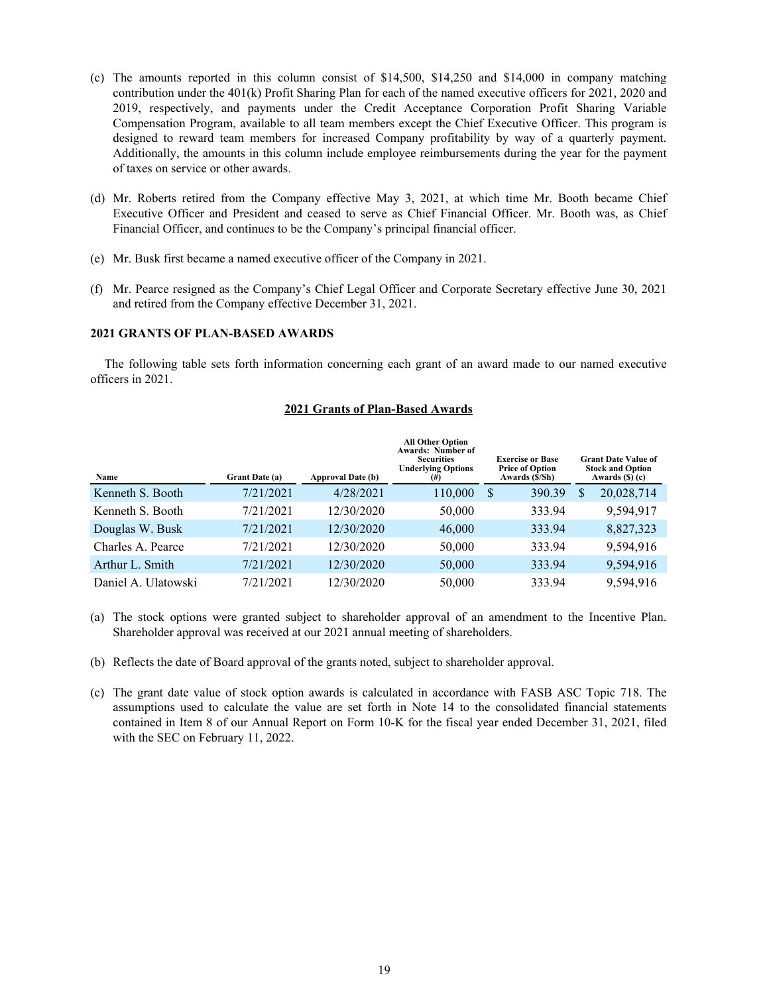- (c) The amounts reported in this column consist of \$14,500, \$14,250 and \$14,000 in company matching contribution under the 401(k) Profit Sharing Plan for each of the named executive officers for 2021, 2020 and 2019, respectively, and payments under the Credit Acceptance Corporation Profit Sharing Variable Compensation Program, available to all team members except the Chief Executive Officer. This program is designed to reward team members for increased Company profitability by way of a quarterly payment. Additionally, the amounts in this column include employee reimbursements during the year for the payment of taxes on service or other awards.
- (d) Mr. Roberts retired from the Company effective May 3, 2021, at which time Mr. Booth became Chief Executive Officer and President and ceased to serve as Chief Financial Officer. Mr. Booth was, as Chief Financial Officer, and continues to be the Company's principal financial officer.
- (e) Mr. Busk first became a named executive officer of the Company in 2021.
- (f) Mr. Pearce resigned as the Company's Chief Legal Officer and Corporate Secretary effective June 30, 2021 and retired from the Company effective December 31, 2021.

# **2021 GRANTS OF PLAN-BASED AWARDS**

The following table sets forth information concerning each grant of an award made to our named executive officers in 2021.

# **2021 Grants of Plan-Based Awards**

| Name                | Grant Date (a) | <b>Approval Date (b)</b> | <b>All Other Option</b><br><b>Awards: Number of</b><br><b>Securities</b><br><b>Underlying Options</b><br>$^{(#)}$ |   | <b>Exercise or Base</b><br><b>Price of Option</b><br>Awards (\$/Sh) |   | <b>Grant Date Value of</b><br><b>Stock and Option</b><br>Awards $(S)$ (c) |
|---------------------|----------------|--------------------------|-------------------------------------------------------------------------------------------------------------------|---|---------------------------------------------------------------------|---|---------------------------------------------------------------------------|
| Kenneth S. Booth    | 7/21/2021      | 4/28/2021                | 110,000                                                                                                           | S | 390.39                                                              | S | 20,028,714                                                                |
| Kenneth S. Booth    | 7/21/2021      | 12/30/2020               | 50,000                                                                                                            |   | 333.94                                                              |   | 9,594,917                                                                 |
| Douglas W. Busk     | 7/21/2021      | 12/30/2020               | 46,000                                                                                                            |   | 333.94                                                              |   | 8,827,323                                                                 |
| Charles A. Pearce   | 7/21/2021      | 12/30/2020               | 50,000                                                                                                            |   | 333.94                                                              |   | 9,594,916                                                                 |
| Arthur L. Smith     | 7/21/2021      | 12/30/2020               | 50,000                                                                                                            |   | 333.94                                                              |   | 9,594,916                                                                 |
| Daniel A. Ulatowski | 7/21/2021      | 12/30/2020               | 50,000                                                                                                            |   | 333.94                                                              |   | 9,594,916                                                                 |

- (a) The stock options were granted subject to shareholder approval of an amendment to the Incentive Plan. Shareholder approval was received at our 2021 annual meeting of shareholders.
- (b) Reflects the date of Board approval of the grants noted, subject to shareholder approval.
- (c) The grant date value of stock option awards is calculated in accordance with FASB ASC Topic 718. The assumptions used to calculate the value are set forth in Note 14 to the consolidated financial statements contained in Item 8 of our Annual Report on Form 10-K for the fiscal year ended December 31, 2021, filed with the SEC on February 11, 2022.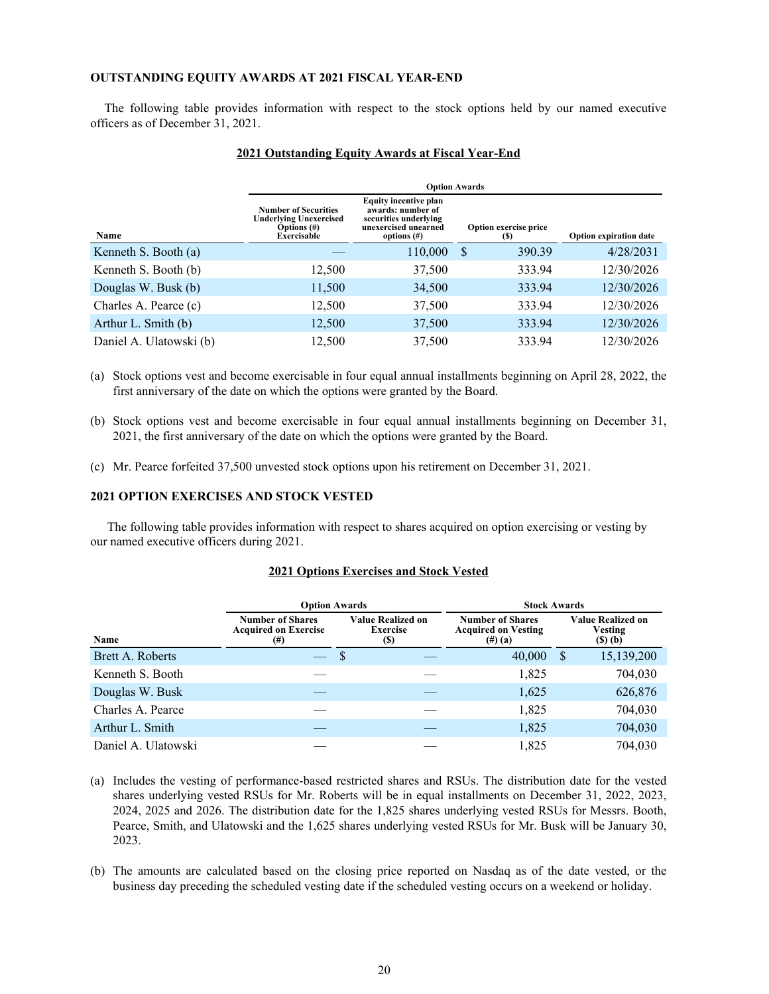# **OUTSTANDING EQUITY AWARDS AT 2021 FISCAL YEAR-END**

The following table provides information with respect to the stock options held by our named executive officers as of December 31, 2021.

|                         | <b>Option Awards</b>                                                                                 |                                                                                                                      |                              |                               |  |  |  |  |
|-------------------------|------------------------------------------------------------------------------------------------------|----------------------------------------------------------------------------------------------------------------------|------------------------------|-------------------------------|--|--|--|--|
| Name                    | <b>Number of Securities</b><br><b>Underlying Unexercised</b><br>Options $(\#)$<br><b>Exercisable</b> | <b>Equity incentive plan</b><br>awards: number of<br>securities underlying<br>unexercised unearned<br>options $(\#)$ | Option exercise price<br>(S) | <b>Option expiration date</b> |  |  |  |  |
| Kenneth S. Booth (a)    |                                                                                                      | 110,000                                                                                                              | 390.39<br>S                  | 4/28/2031                     |  |  |  |  |
| Kenneth S. Booth (b)    | 12,500                                                                                               | 37,500                                                                                                               | 333.94                       | 12/30/2026                    |  |  |  |  |
| Douglas W. Busk (b)     | 11,500                                                                                               | 34,500                                                                                                               | 333.94                       | 12/30/2026                    |  |  |  |  |
| Charles A. Pearce (c)   | 12,500                                                                                               | 37,500                                                                                                               | 333.94                       | 12/30/2026                    |  |  |  |  |
| Arthur L. Smith (b)     | 12,500                                                                                               | 37,500                                                                                                               | 333.94                       | 12/30/2026                    |  |  |  |  |
| Daniel A. Ulatowski (b) | 12,500                                                                                               | 37,500                                                                                                               | 333.94                       | 12/30/2026                    |  |  |  |  |

# **2021 Outstanding Equity Awards at Fiscal Year-End**

(a) Stock options vest and become exercisable in four equal annual installments beginning on April 28, 2022, the first anniversary of the date on which the options were granted by the Board.

- (b) Stock options vest and become exercisable in four equal annual installments beginning on December 31, 2021, the first anniversary of the date on which the options were granted by the Board.
- (c) Mr. Pearce forfeited 37,500 unvested stock options upon his retirement on December 31, 2021.

# **2021 OPTION EXERCISES AND STOCK VESTED**

The following table provides information with respect to shares acquired on option exercising or vesting by our named executive officers during 2021.

# **2021 Options Exercises and Stock Vested**

|                     | <b>Option Awards</b>                                                |                                             |  | <b>Stock Awards</b>                                             |   |                                                            |  |  |
|---------------------|---------------------------------------------------------------------|---------------------------------------------|--|-----------------------------------------------------------------|---|------------------------------------------------------------|--|--|
| Name                | <b>Number of Shares</b><br><b>Acquired on Exercise</b><br>$^{(\#)}$ | <b>Value Realized on</b><br>Exercise<br>(S) |  | <b>Number of Shares</b><br><b>Acquired on Vesting</b><br>(#)(a) |   | <b>Value Realized on</b><br>Vesting<br>$($ S $)$ $($ b $)$ |  |  |
| Brett A. Roberts    |                                                                     | S                                           |  | 40,000                                                          | S | 15,139,200                                                 |  |  |
| Kenneth S. Booth    |                                                                     |                                             |  | 1,825                                                           |   | 704,030                                                    |  |  |
| Douglas W. Busk     |                                                                     |                                             |  | 1,625                                                           |   | 626,876                                                    |  |  |
| Charles A. Pearce   |                                                                     |                                             |  | 1,825                                                           |   | 704,030                                                    |  |  |
| Arthur L. Smith     |                                                                     |                                             |  | 1,825                                                           |   | 704,030                                                    |  |  |
| Daniel A. Ulatowski |                                                                     |                                             |  | 1,825                                                           |   | 704.030                                                    |  |  |

- (a) Includes the vesting of performance-based restricted shares and RSUs. The distribution date for the vested shares underlying vested RSUs for Mr. Roberts will be in equal installments on December 31, 2022, 2023, 2024, 2025 and 2026. The distribution date for the 1,825 shares underlying vested RSUs for Messrs. Booth, Pearce, Smith, and Ulatowski and the 1,625 shares underlying vested RSUs for Mr. Busk will be January 30, 2023.
- (b) The amounts are calculated based on the closing price reported on Nasdaq as of the date vested, or the business day preceding the scheduled vesting date if the scheduled vesting occurs on a weekend or holiday.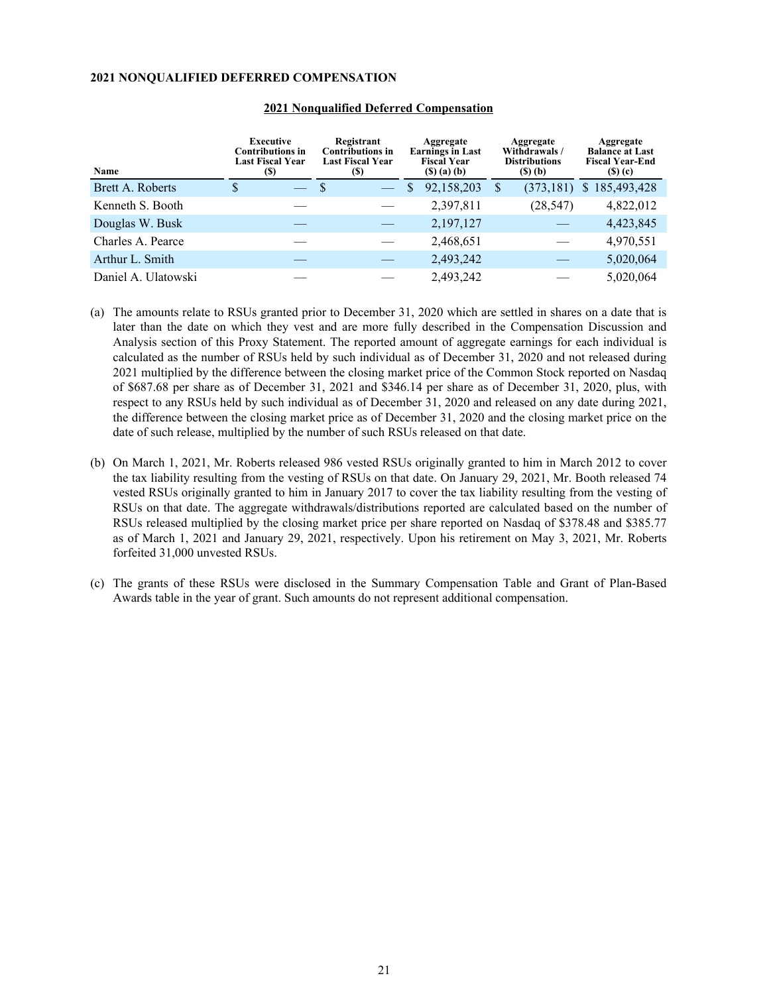# **2021 NONQUALIFIED DEFERRED COMPENSATION**

| Name                | <b>Executive</b><br><b>Contributions in</b><br><b>Last Fiscal Year</b><br>(S) | Registrant<br><b>Contributions in</b><br>Last Fiscal Year<br>(S) | Aggregate<br><b>Earnings in Last</b><br><b>Fiscal Year</b><br>$($ S $)$ $($ a $)$ $($ b $)$ | Aggregate<br>Withdrawals/<br><b>Distributions</b><br>$(5)$ (b) | Aggregate<br><b>Balance at Last</b><br><b>Fiscal Year-End</b><br>$($ S $)$ $($ c $)$ |  |
|---------------------|-------------------------------------------------------------------------------|------------------------------------------------------------------|---------------------------------------------------------------------------------------------|----------------------------------------------------------------|--------------------------------------------------------------------------------------|--|
| Brett A. Roberts    | S                                                                             | S                                                                | 92,158,203<br>S                                                                             | (373, 181)<br>S                                                | 185,493,428<br>S.                                                                    |  |
| Kenneth S. Booth    |                                                                               |                                                                  | 2,397,811                                                                                   | (28, 547)                                                      | 4,822,012                                                                            |  |
| Douglas W. Busk     |                                                                               |                                                                  | 2,197,127                                                                                   |                                                                | 4,423,845                                                                            |  |
| Charles A. Pearce   |                                                                               |                                                                  | 2,468,651                                                                                   |                                                                | 4,970,551                                                                            |  |
| Arthur L. Smith     |                                                                               |                                                                  | 2,493,242                                                                                   |                                                                | 5,020,064                                                                            |  |
| Daniel A. Ulatowski |                                                                               |                                                                  | 2,493,242                                                                                   |                                                                | 5,020,064                                                                            |  |

#### **2021 Nonqualified Deferred Compensation**

- (a) The amounts relate to RSUs granted prior to December 31, 2020 which are settled in shares on a date that is later than the date on which they vest and are more fully described in the Compensation Discussion and Analysis section of this Proxy Statement. The reported amount of aggregate earnings for each individual is calculated as the number of RSUs held by such individual as of December 31, 2020 and not released during 2021 multiplied by the difference between the closing market price of the Common Stock reported on Nasdaq of \$687.68 per share as of December 31, 2021 and \$346.14 per share as of December 31, 2020, plus, with respect to any RSUs held by such individual as of December 31, 2020 and released on any date during 2021, the difference between the closing market price as of December 31, 2020 and the closing market price on the date of such release, multiplied by the number of such RSUs released on that date.
- (b) On March 1, 2021, Mr. Roberts released 986 vested RSUs originally granted to him in March 2012 to cover the tax liability resulting from the vesting of RSUs on that date. On January 29, 2021, Mr. Booth released 74 vested RSUs originally granted to him in January 2017 to cover the tax liability resulting from the vesting of RSUs on that date. The aggregate withdrawals/distributions reported are calculated based on the number of RSUs released multiplied by the closing market price per share reported on Nasdaq of \$378.48 and \$385.77 as of March 1, 2021 and January 29, 2021, respectively. Upon his retirement on May 3, 2021, Mr. Roberts forfeited 31,000 unvested RSUs.
- (c) The grants of these RSUs were disclosed in the Summary Compensation Table and Grant of Plan-Based Awards table in the year of grant. Such amounts do not represent additional compensation.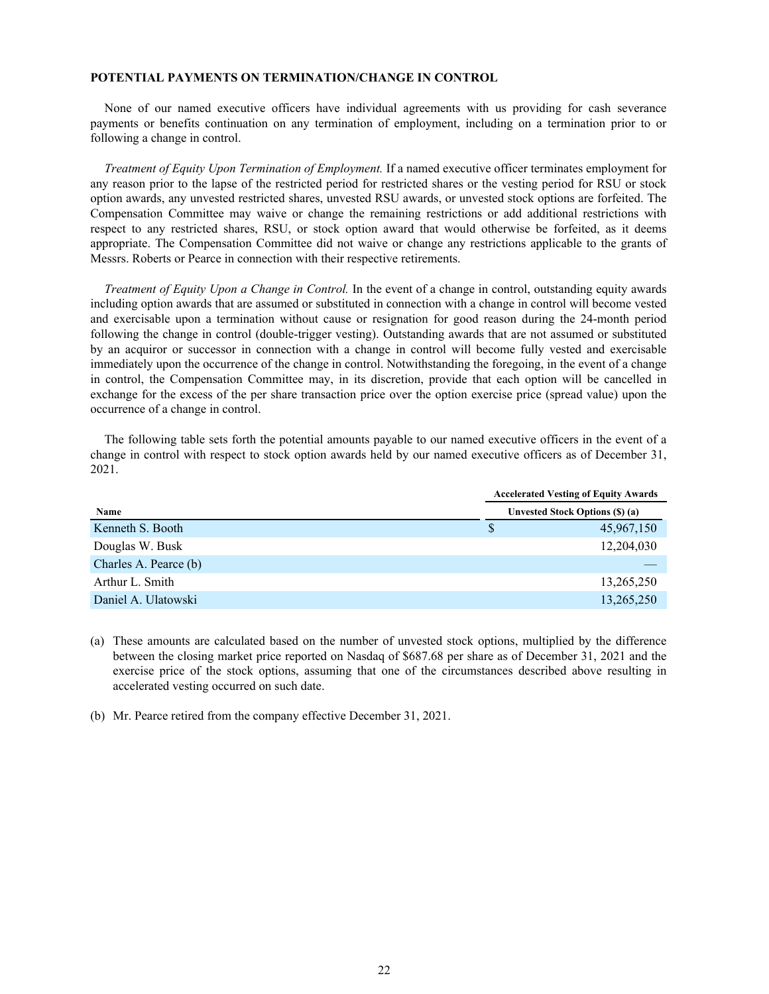# **POTENTIAL PAYMENTS ON TERMINATION/CHANGE IN CONTROL**

None of our named executive officers have individual agreements with us providing for cash severance payments or benefits continuation on any termination of employment, including on a termination prior to or following a change in control.

*Treatment of Equity Upon Termination of Employment.* If a named executive officer terminates employment for any reason prior to the lapse of the restricted period for restricted shares or the vesting period for RSU or stock option awards, any unvested restricted shares, unvested RSU awards, or unvested stock options are forfeited. The Compensation Committee may waive or change the remaining restrictions or add additional restrictions with respect to any restricted shares, RSU, or stock option award that would otherwise be forfeited, as it deems appropriate. The Compensation Committee did not waive or change any restrictions applicable to the grants of Messrs. Roberts or Pearce in connection with their respective retirements.

*Treatment of Equity Upon a Change in Control.* In the event of a change in control, outstanding equity awards including option awards that are assumed or substituted in connection with a change in control will become vested and exercisable upon a termination without cause or resignation for good reason during the 24-month period following the change in control (double-trigger vesting). Outstanding awards that are not assumed or substituted by an acquiror or successor in connection with a change in control will become fully vested and exercisable immediately upon the occurrence of the change in control. Notwithstanding the foregoing, in the event of a change in control, the Compensation Committee may, in its discretion, provide that each option will be cancelled in exchange for the excess of the per share transaction price over the option exercise price (spread value) upon the occurrence of a change in control.

The following table sets forth the potential amounts payable to our named executive officers in the event of a change in control with respect to stock option awards held by our named executive officers as of December 31, 2021.

|                       |   | <b>Accelerated Vesting of Equity Awards</b> |  |  |  |
|-----------------------|---|---------------------------------------------|--|--|--|
| Name                  |   | <b>Unvested Stock Options (\$) (a)</b>      |  |  |  |
| Kenneth S. Booth      | S | 45,967,150                                  |  |  |  |
| Douglas W. Busk       |   | 12,204,030                                  |  |  |  |
| Charles A. Pearce (b) |   |                                             |  |  |  |
| Arthur L. Smith       |   | 13,265,250                                  |  |  |  |
| Daniel A. Ulatowski   |   | 13,265,250                                  |  |  |  |

(a) These amounts are calculated based on the number of unvested stock options, multiplied by the difference between the closing market price reported on Nasdaq of \$687.68 per share as of December 31, 2021 and the exercise price of the stock options, assuming that one of the circumstances described above resulting in accelerated vesting occurred on such date.

(b) Mr. Pearce retired from the company effective December 31, 2021.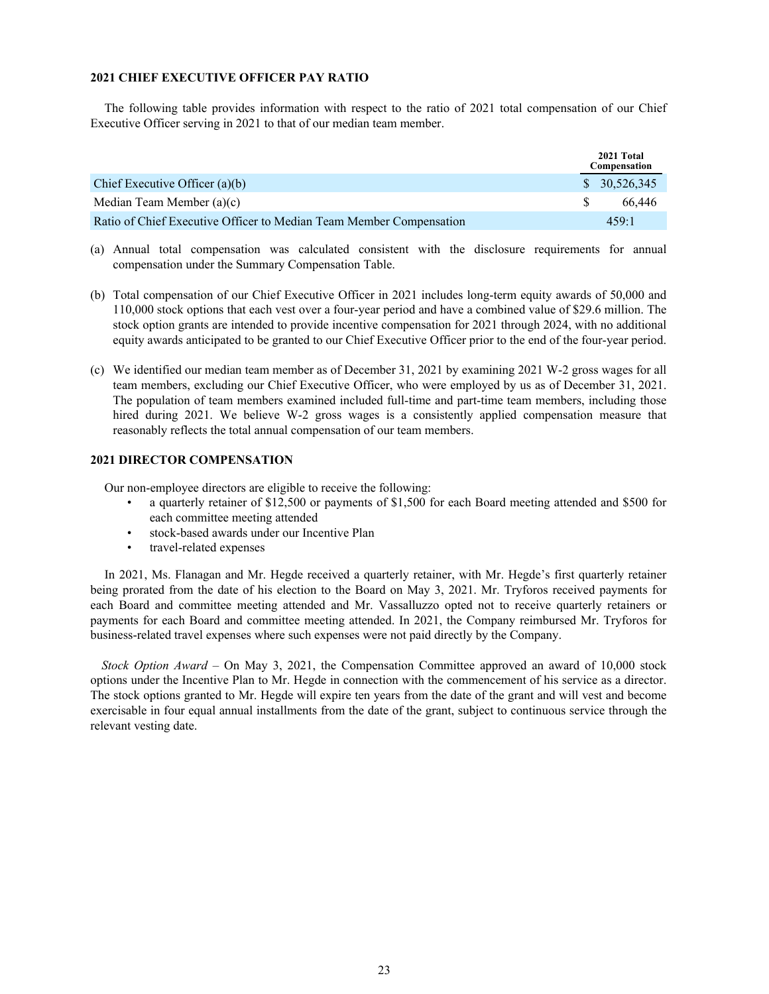# **2021 CHIEF EXECUTIVE OFFICER PAY RATIO**

The following table provides information with respect to the ratio of 2021 total compensation of our Chief Executive Officer serving in 2021 to that of our median team member.

|                                                                     |    | 2021 Total<br>Compensation |
|---------------------------------------------------------------------|----|----------------------------|
| Chief Executive Officer $(a)(b)$                                    |    | \$30,526,345               |
| Median Team Member (a)(c)                                           | -S | 66 446                     |
| Ratio of Chief Executive Officer to Median Team Member Compensation |    | 459.1                      |

- (a) Annual total compensation was calculated consistent with the disclosure requirements for annual compensation under the Summary Compensation Table.
- (b) Total compensation of our Chief Executive Officer in 2021 includes long-term equity awards of 50,000 and 110,000 stock options that each vest over a four-year period and have a combined value of \$29.6 million. The stock option grants are intended to provide incentive compensation for 2021 through 2024, with no additional equity awards anticipated to be granted to our Chief Executive Officer prior to the end of the four-year period.
- (c) We identified our median team member as of December 31, 2021 by examining 2021 W-2 gross wages for all team members, excluding our Chief Executive Officer, who were employed by us as of December 31, 2021. The population of team members examined included full-time and part-time team members, including those hired during 2021. We believe W-2 gross wages is a consistently applied compensation measure that reasonably reflects the total annual compensation of our team members.

# **2021 DIRECTOR COMPENSATION**

Our non-employee directors are eligible to receive the following:

- a quarterly retainer of \$12,500 or payments of \$1,500 for each Board meeting attended and \$500 for each committee meeting attended
- stock-based awards under our Incentive Plan
- travel-related expenses

In 2021, Ms. Flanagan and Mr. Hegde received a quarterly retainer, with Mr. Hegde's first quarterly retainer being prorated from the date of his election to the Board on May 3, 2021. Mr. Tryforos received payments for each Board and committee meeting attended and Mr. Vassalluzzo opted not to receive quarterly retainers or payments for each Board and committee meeting attended. In 2021, the Company reimbursed Mr. Tryforos for business-related travel expenses where such expenses were not paid directly by the Company.

*Stock Option Award –* On May 3, 2021, the Compensation Committee approved an award of 10,000 stock options under the Incentive Plan to Mr. Hegde in connection with the commencement of his service as a director. The stock options granted to Mr. Hegde will expire ten years from the date of the grant and will vest and become exercisable in four equal annual installments from the date of the grant, subject to continuous service through the relevant vesting date.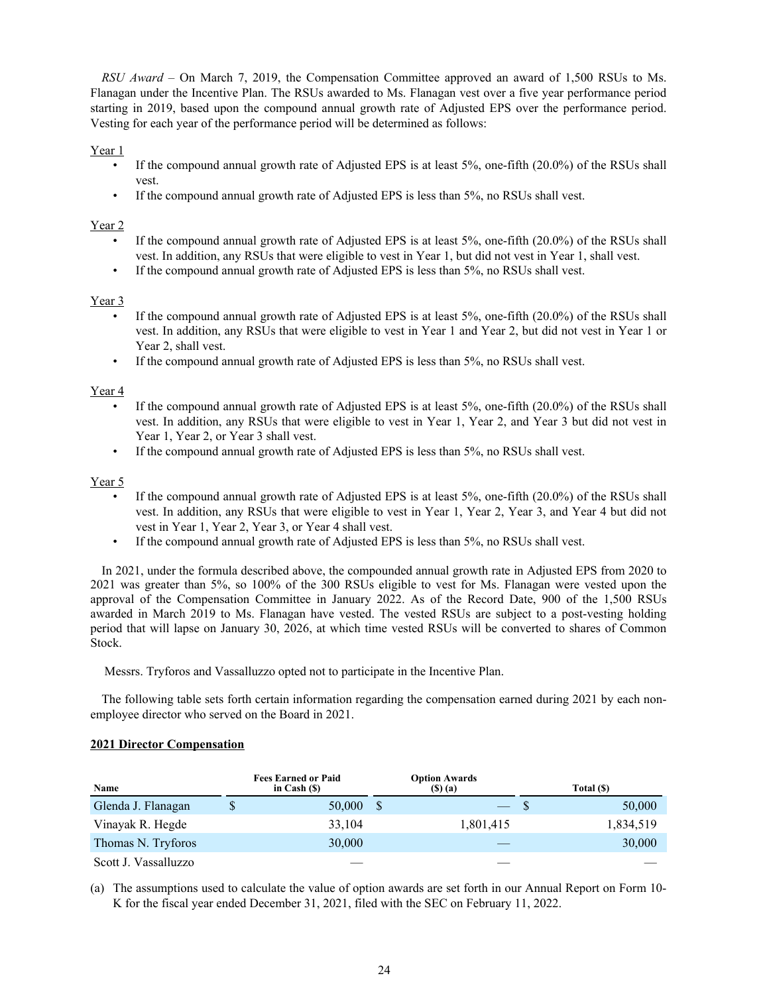*RSU Award –* On March 7, 2019, the Compensation Committee approved an award of 1,500 RSUs to Ms. Flanagan under the Incentive Plan. The RSUs awarded to Ms. Flanagan vest over a five year performance period starting in 2019, based upon the compound annual growth rate of Adjusted EPS over the performance period. Vesting for each year of the performance period will be determined as follows:

# Year 1

- If the compound annual growth rate of Adjusted EPS is at least 5%, one-fifth (20.0%) of the RSUs shall vest.
- If the compound annual growth rate of Adjusted EPS is less than 5%, no RSUs shall vest.

# Year 2

- If the compound annual growth rate of Adjusted EPS is at least 5%, one-fifth (20.0%) of the RSUs shall vest. In addition, any RSUs that were eligible to vest in Year 1, but did not vest in Year 1, shall vest.
- If the compound annual growth rate of Adjusted EPS is less than 5%, no RSUs shall vest.

# Year 3

- If the compound annual growth rate of Adjusted EPS is at least 5%, one-fifth (20.0%) of the RSUs shall vest. In addition, any RSUs that were eligible to vest in Year 1 and Year 2, but did not vest in Year 1 or Year 2, shall vest.
- If the compound annual growth rate of Adjusted EPS is less than 5%, no RSUs shall vest.

# Year 4

- If the compound annual growth rate of Adjusted EPS is at least 5%, one-fifth (20.0%) of the RSUs shall vest. In addition, any RSUs that were eligible to vest in Year 1, Year 2, and Year 3 but did not vest in Year 1, Year 2, or Year 3 shall vest.
- If the compound annual growth rate of Adjusted EPS is less than 5%, no RSUs shall vest.

# Year 5

- If the compound annual growth rate of Adjusted EPS is at least 5%, one-fifth (20.0%) of the RSUs shall vest. In addition, any RSUs that were eligible to vest in Year 1, Year 2, Year 3, and Year 4 but did not vest in Year 1, Year 2, Year 3, or Year 4 shall vest.
- If the compound annual growth rate of Adjusted EPS is less than 5%, no RSUs shall vest.

In 2021, under the formula described above, the compounded annual growth rate in Adjusted EPS from 2020 to 2021 was greater than 5%, so 100% of the 300 RSUs eligible to vest for Ms. Flanagan were vested upon the approval of the Compensation Committee in January 2022. As of the Record Date, 900 of the 1,500 RSUs awarded in March 2019 to Ms. Flanagan have vested. The vested RSUs are subject to a post-vesting holding period that will lapse on January 30, 2026, at which time vested RSUs will be converted to shares of Common Stock.

# Messrs. Tryforos and Vassalluzzo opted not to participate in the Incentive Plan.

The following table sets forth certain information regarding the compensation earned during 2021 by each nonemployee director who served on the Board in 2021.

# **2021 Director Compensation**

| Name                 | <b>Fees Earned or Paid</b><br>in Cash $(S)$ | <b>Option Awards</b><br>(\$) (a) |    | Total (\$) |
|----------------------|---------------------------------------------|----------------------------------|----|------------|
| Glenda J. Flanagan   | \$<br>50,000                                | <u>—</u>                         | -8 | 50,000     |
| Vinayak R. Hegde     | 33.104                                      | 1,801,415                        |    | 1,834,519  |
| Thomas N. Tryforos   | 30,000                                      |                                  |    | 30,000     |
| Scott J. Vassalluzzo |                                             |                                  |    |            |

(a) The assumptions used to calculate the value of option awards are set forth in our Annual Report on Form 10- K for the fiscal year ended December 31, 2021, filed with the SEC on February 11, 2022.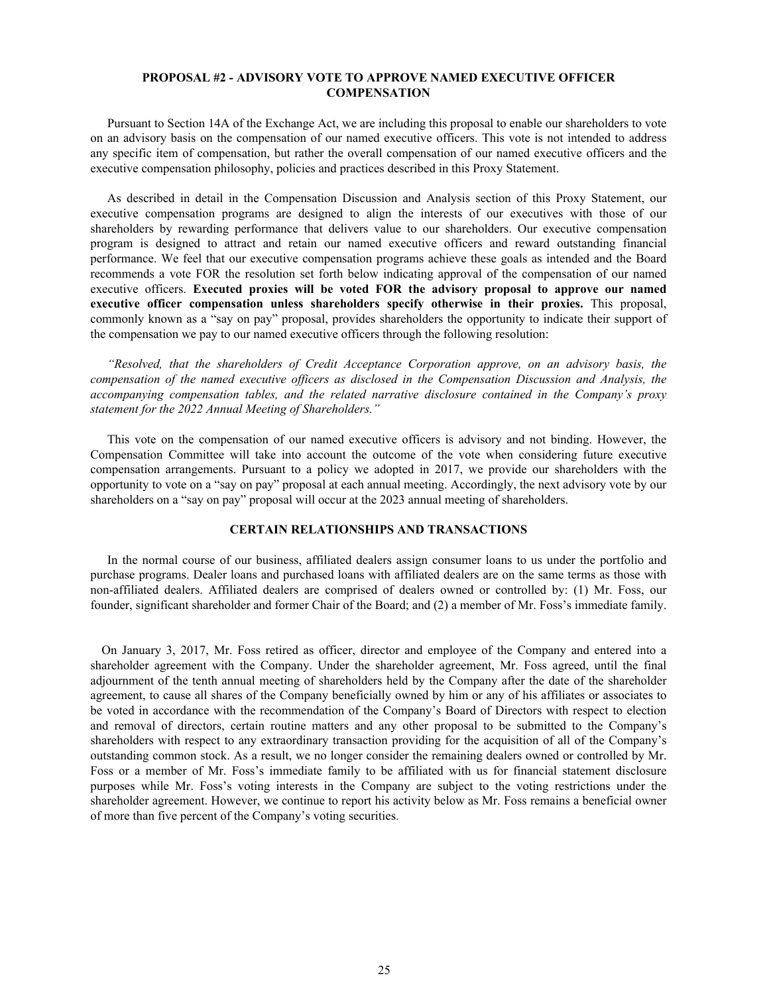# **PROPOSAL #2 - ADVISORY VOTE TO APPROVE NAMED EXECUTIVE OFFICER COMPENSATION**

Pursuant to Section 14A of the Exchange Act, we are including this proposal to enable our shareholders to vote on an advisory basis on the compensation of our named executive officers. This vote is not intended to address any specific item of compensation, but rather the overall compensation of our named executive officers and the executive compensation philosophy, policies and practices described in this Proxy Statement.

As described in detail in the Compensation Discussion and Analysis section of this Proxy Statement, our executive compensation programs are designed to align the interests of our executives with those of our shareholders by rewarding performance that delivers value to our shareholders. Our executive compensation program is designed to attract and retain our named executive officers and reward outstanding financial performance. We feel that our executive compensation programs achieve these goals as intended and the Board recommends a vote FOR the resolution set forth below indicating approval of the compensation of our named executive officers. **Executed proxies will be voted FOR the advisory proposal to approve our named executive officer compensation unless shareholders specify otherwise in their proxies.** This proposal, commonly known as a "say on pay" proposal, provides shareholders the opportunity to indicate their support of the compensation we pay to our named executive officers through the following resolution:

*"Resolved, that the shareholders of Credit Acceptance Corporation approve, on an advisory basis, the compensation of the named executive officers as disclosed in the Compensation Discussion and Analysis, the accompanying compensation tables, and the related narrative disclosure contained in the Company's proxy statement for the 2022 Annual Meeting of Shareholders."* 

This vote on the compensation of our named executive officers is advisory and not binding. However, the Compensation Committee will take into account the outcome of the vote when considering future executive compensation arrangements. Pursuant to a policy we adopted in 2017, we provide our shareholders with the opportunity to vote on a "say on pay" proposal at each annual meeting. Accordingly, the next advisory vote by our shareholders on a "say on pay" proposal will occur at the 2023 annual meeting of shareholders.

#### **CERTAIN RELATIONSHIPS AND TRANSACTIONS**

In the normal course of our business, affiliated dealers assign consumer loans to us under the portfolio and purchase programs. Dealer loans and purchased loans with affiliated dealers are on the same terms as those with non-affiliated dealers. Affiliated dealers are comprised of dealers owned or controlled by: (1) Mr. Foss, our founder, significant shareholder and former Chair of the Board; and (2) a member of Mr. Foss's immediate family.

On January 3, 2017, Mr. Foss retired as officer, director and employee of the Company and entered into a shareholder agreement with the Company. Under the shareholder agreement, Mr. Foss agreed, until the final adjournment of the tenth annual meeting of shareholders held by the Company after the date of the shareholder agreement, to cause all shares of the Company beneficially owned by him or any of his affiliates or associates to be voted in accordance with the recommendation of the Company's Board of Directors with respect to election and removal of directors, certain routine matters and any other proposal to be submitted to the Company's shareholders with respect to any extraordinary transaction providing for the acquisition of all of the Company's outstanding common stock. As a result, we no longer consider the remaining dealers owned or controlled by Mr. Foss or a member of Mr. Foss's immediate family to be affiliated with us for financial statement disclosure purposes while Mr. Foss's voting interests in the Company are subject to the voting restrictions under the shareholder agreement. However, we continue to report his activity below as Mr. Foss remains a beneficial owner of more than five percent of the Company's voting securities.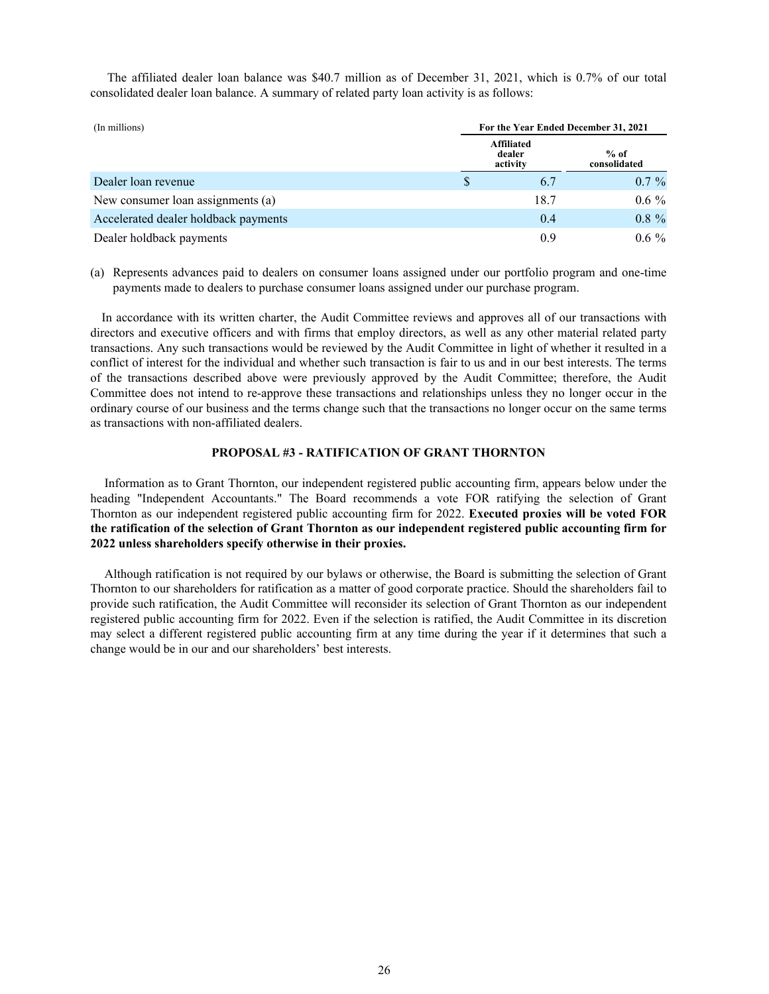The affiliated dealer loan balance was \$40.7 million as of December 31, 2021, which is 0.7% of our total consolidated dealer loan balance. A summary of related party loan activity is as follows:

| (In millions)                        | For the Year Ended December 31, 2021    |                        |          |  |  |
|--------------------------------------|-----------------------------------------|------------------------|----------|--|--|
|                                      | <b>Affiliated</b><br>dealer<br>activity | $%$ of<br>consolidated |          |  |  |
| Dealer loan revenue                  | S                                       | 6.7                    | $0.7\%$  |  |  |
| New consumer loan assignments (a)    |                                         | 18.7                   | $0.6 \%$ |  |  |
| Accelerated dealer holdback payments |                                         | 0.4                    | $0.8 \%$ |  |  |
| Dealer holdback payments             |                                         | 0.9                    | $0.6 \%$ |  |  |

(a) Represents advances paid to dealers on consumer loans assigned under our portfolio program and one-time payments made to dealers to purchase consumer loans assigned under our purchase program.

In accordance with its written charter, the Audit Committee reviews and approves all of our transactions with directors and executive officers and with firms that employ directors, as well as any other material related party transactions. Any such transactions would be reviewed by the Audit Committee in light of whether it resulted in a conflict of interest for the individual and whether such transaction is fair to us and in our best interests. The terms of the transactions described above were previously approved by the Audit Committee; therefore, the Audit Committee does not intend to re-approve these transactions and relationships unless they no longer occur in the ordinary course of our business and the terms change such that the transactions no longer occur on the same terms as transactions with non-affiliated dealers.

#### **PROPOSAL #3 - RATIFICATION OF GRANT THORNTON**

Information as to Grant Thornton, our independent registered public accounting firm, appears below under the heading "Independent Accountants." The Board recommends a vote FOR ratifying the selection of Grant Thornton as our independent registered public accounting firm for 2022. **Executed proxies will be voted FOR the ratification of the selection of Grant Thornton as our independent registered public accounting firm for 2022 unless shareholders specify otherwise in their proxies.**

Although ratification is not required by our bylaws or otherwise, the Board is submitting the selection of Grant Thornton to our shareholders for ratification as a matter of good corporate practice. Should the shareholders fail to provide such ratification, the Audit Committee will reconsider its selection of Grant Thornton as our independent registered public accounting firm for 2022. Even if the selection is ratified, the Audit Committee in its discretion may select a different registered public accounting firm at any time during the year if it determines that such a change would be in our and our shareholders' best interests.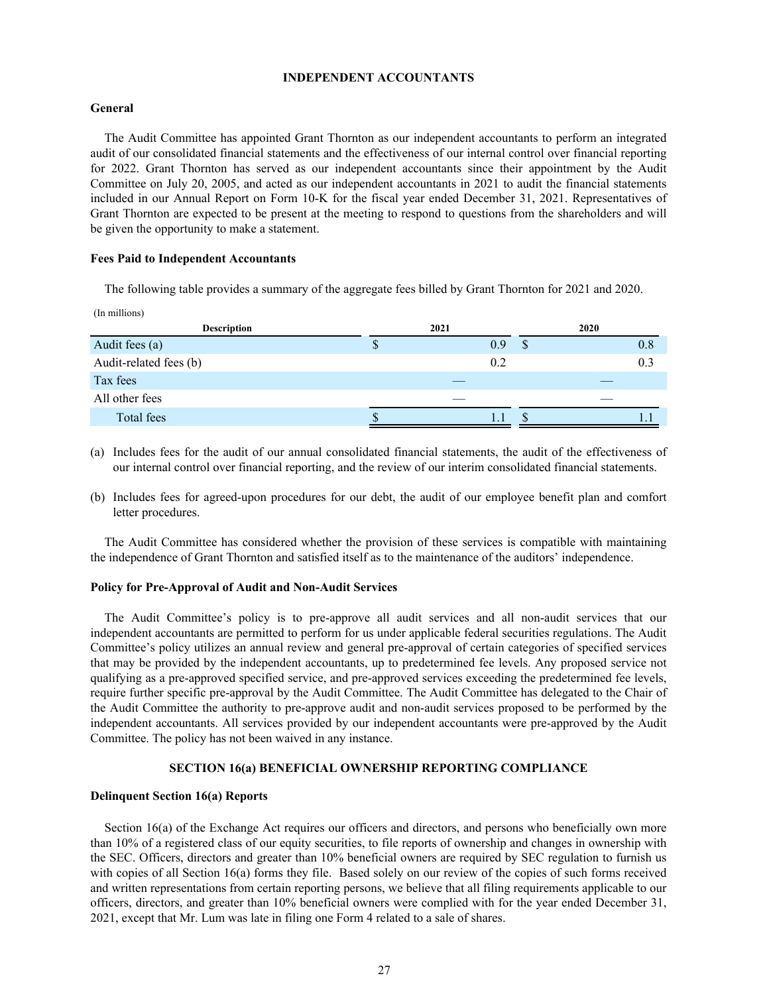### **INDEPENDENT ACCOUNTANTS**

# **General**

The Audit Committee has appointed Grant Thornton as our independent accountants to perform an integrated audit of our consolidated financial statements and the effectiveness of our internal control over financial reporting for 2022. Grant Thornton has served as our independent accountants since their appointment by the Audit Committee on July 20, 2005, and acted as our independent accountants in 2021 to audit the financial statements included in our Annual Report on Form 10-K for the fiscal year ended December 31, 2021. Representatives of Grant Thornton are expected to be present at the meeting to respond to questions from the shareholders and will be given the opportunity to make a statement.

### **Fees Paid to Independent Accountants**

The following table provides a summary of the aggregate fees billed by Grant Thornton for 2021 and 2020.

| (In millions) |   |            |  |  |  |  |  |  |  |  |
|---------------|---|------------|--|--|--|--|--|--|--|--|
| 2021          |   | 2020       |  |  |  |  |  |  |  |  |
| Φ             | S | 0.8        |  |  |  |  |  |  |  |  |
|               |   | 0.3        |  |  |  |  |  |  |  |  |
|               |   |            |  |  |  |  |  |  |  |  |
|               |   |            |  |  |  |  |  |  |  |  |
|               |   |            |  |  |  |  |  |  |  |  |
|               |   | 0.9<br>0.2 |  |  |  |  |  |  |  |  |

(a) Includes fees for the audit of our annual consolidated financial statements, the audit of the effectiveness of our internal control over financial reporting, and the review of our interim consolidated financial statements.

(b) Includes fees for agreed-upon procedures for our debt, the audit of our employee benefit plan and comfort letter procedures.

The Audit Committee has considered whether the provision of these services is compatible with maintaining the independence of Grant Thornton and satisfied itself as to the maintenance of the auditors' independence.

# **Policy for Pre-Approval of Audit and Non-Audit Services**

The Audit Committee's policy is to pre-approve all audit services and all non-audit services that our independent accountants are permitted to perform for us under applicable federal securities regulations. The Audit Committee's policy utilizes an annual review and general pre-approval of certain categories of specified services that may be provided by the independent accountants, up to predetermined fee levels. Any proposed service not qualifying as a pre-approved specified service, and pre-approved services exceeding the predetermined fee levels, require further specific pre-approval by the Audit Committee. The Audit Committee has delegated to the Chair of the Audit Committee the authority to pre-approve audit and non-audit services proposed to be performed by the independent accountants. All services provided by our independent accountants were pre-approved by the Audit Committee. The policy has not been waived in any instance.

# **SECTION 16(a) BENEFICIAL OWNERSHIP REPORTING COMPLIANCE**

# **Delinquent Section 16(a) Reports**

Section 16(a) of the Exchange Act requires our officers and directors, and persons who beneficially own more than 10% of a registered class of our equity securities, to file reports of ownership and changes in ownership with the SEC. Officers, directors and greater than 10% beneficial owners are required by SEC regulation to furnish us with copies of all Section 16(a) forms they file. Based solely on our review of the copies of such forms received and written representations from certain reporting persons, we believe that all filing requirements applicable to our officers, directors, and greater than 10% beneficial owners were complied with for the year ended December 31, 2021, except that Mr. Lum was late in filing one Form 4 related to a sale of shares.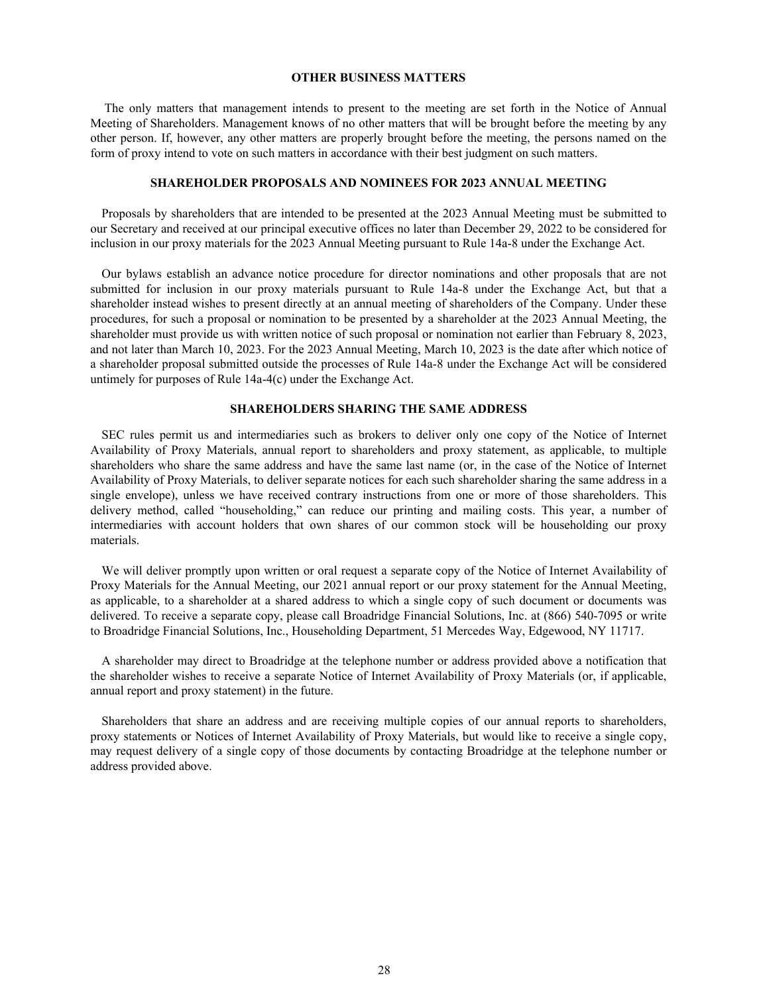# **OTHER BUSINESS MATTERS**

The only matters that management intends to present to the meeting are set forth in the Notice of Annual Meeting of Shareholders. Management knows of no other matters that will be brought before the meeting by any other person. If, however, any other matters are properly brought before the meeting, the persons named on the form of proxy intend to vote on such matters in accordance with their best judgment on such matters.

# **SHAREHOLDER PROPOSALS AND NOMINEES FOR 2023 ANNUAL MEETING**

Proposals by shareholders that are intended to be presented at the 2023 Annual Meeting must be submitted to our Secretary and received at our principal executive offices no later than December 29, 2022 to be considered for inclusion in our proxy materials for the 2023 Annual Meeting pursuant to Rule 14a-8 under the Exchange Act.

Our bylaws establish an advance notice procedure for director nominations and other proposals that are not submitted for inclusion in our proxy materials pursuant to Rule 14a–8 under the Exchange Act, but that a shareholder instead wishes to present directly at an annual meeting of shareholders of the Company. Under these procedures, for such a proposal or nomination to be presented by a shareholder at the 2023 Annual Meeting, the shareholder must provide us with written notice of such proposal or nomination not earlier than February 8, 2023, and not later than March 10, 2023. For the 2023 Annual Meeting, March 10, 2023 is the date after which notice of a shareholder proposal submitted outside the processes of Rule 14a‑8 under the Exchange Act will be considered untimely for purposes of Rule 14a‑4(c) under the Exchange Act.

### **SHAREHOLDERS SHARING THE SAME ADDRESS**

SEC rules permit us and intermediaries such as brokers to deliver only one copy of the Notice of Internet Availability of Proxy Materials, annual report to shareholders and proxy statement, as applicable, to multiple shareholders who share the same address and have the same last name (or, in the case of the Notice of Internet Availability of Proxy Materials, to deliver separate notices for each such shareholder sharing the same address in a single envelope), unless we have received contrary instructions from one or more of those shareholders. This delivery method, called "householding," can reduce our printing and mailing costs. This year, a number of intermediaries with account holders that own shares of our common stock will be householding our proxy materials.

We will deliver promptly upon written or oral request a separate copy of the Notice of Internet Availability of Proxy Materials for the Annual Meeting, our 2021 annual report or our proxy statement for the Annual Meeting, as applicable, to a shareholder at a shared address to which a single copy of such document or documents was delivered. To receive a separate copy, please call Broadridge Financial Solutions, Inc. at (866) 540-7095 or write to Broadridge Financial Solutions, Inc., Householding Department, 51 Mercedes Way, Edgewood, NY 11717.

A shareholder may direct to Broadridge at the telephone number or address provided above a notification that the shareholder wishes to receive a separate Notice of Internet Availability of Proxy Materials (or, if applicable, annual report and proxy statement) in the future.

Shareholders that share an address and are receiving multiple copies of our annual reports to shareholders, proxy statements or Notices of Internet Availability of Proxy Materials, but would like to receive a single copy, may request delivery of a single copy of those documents by contacting Broadridge at the telephone number or address provided above.